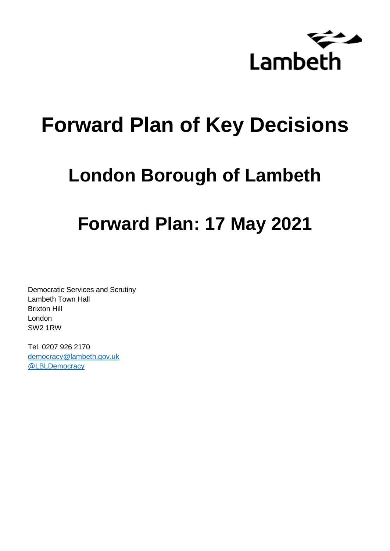

# **Forward Plan of Key Decisions**

# **London Borough of Lambeth**

# **Forward Plan: 17 May 2021**

Democratic Services and Scrutiny Lambeth Town Hall Brixton Hill London SW2 1RW

Tel. 0207 926 2170 [democracy@lambeth.gov.uk](mailto:democracy@lambeth.gov.uk) [@LBLDemocracy](https://twitter.com/LBLDemocracy?lang=en)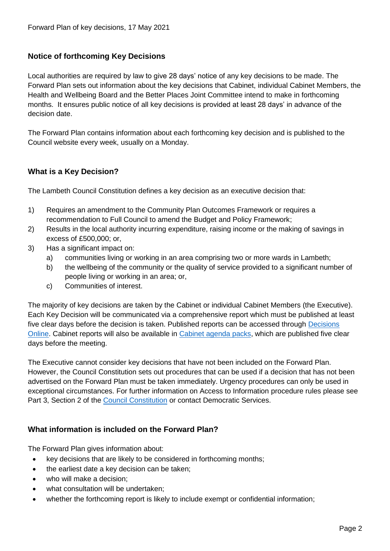#### **Notice of forthcoming Key Decisions**

Local authorities are required by law to give 28 days' notice of any key decisions to be made. The Forward Plan sets out information about the key decisions that Cabinet, individual Cabinet Members, the Health and Wellbeing Board and the Better Places Joint Committee intend to make in forthcoming months. It ensures public notice of all key decisions is provided at least 28 days' in advance of the decision date.

The Forward Plan contains information about each forthcoming key decision and is published to the Council website every week, usually on a Monday.

#### **What is a Key Decision?**

The Lambeth Council Constitution defines a key decision as an executive decision that:

- 1) Requires an amendment to the Community Plan Outcomes Framework or requires a recommendation to Full Council to amend the Budget and Policy Framework;
- 2) Results in the local authority incurring expenditure, raising income or the making of savings in excess of £500,000; or,
- 3) Has a significant impact on:
	- a) communities living or working in an area comprising two or more wards in Lambeth;
	- b) the wellbeing of the community or the quality of service provided to a significant number of people living or working in an area; or,
	- c) Communities of interest.

The majority of key decisions are taken by the Cabinet or individual Cabinet Members (the Executive). Each Key Decision will be communicated via a comprehensive report which must be published at least five clear days before the decision is taken. Published reports can be accessed through Decisions [Online.](http://moderngov.lambeth.gov.uk/mgDelegatedDecisions.aspx?bcr=1&DM=0&DS=2&K=0&DR=&V=0) Cabinet reports will also be available in [Cabinet agenda packs,](https://moderngov.lambeth.gov.uk/ieListMeetings.aspx?CommitteeId=225) which are published five clear days before the meeting.

The Executive cannot consider key decisions that have not been included on the Forward Plan. However, the Council Constitution sets out procedures that can be used if a decision that has not been advertised on the Forward Plan must be taken immediately. Urgency procedures can only be used in exceptional circumstances. For further information on Access to Information procedure rules please see Part 3, Section 2 of the [Council Constitution](http://moderngov.lambeth.gov.uk/ieListMeetings.aspx?CId=738&info=1&MD=Constitution) or contact Democratic Services.

#### **What information is included on the Forward Plan?**

The Forward Plan gives information about:

- key decisions that are likely to be considered in forthcoming months;
- the earliest date a key decision can be taken;
- who will make a decision;
- what consultation will be undertaken;
- whether the forthcoming report is likely to include exempt or confidential information;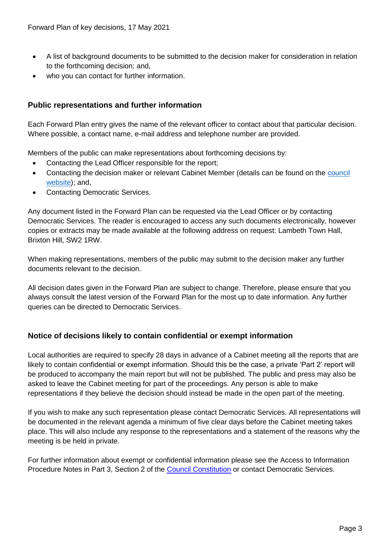- A list of background documents to be submitted to the decision maker for consideration in relation to the forthcoming decision; and,
- who you can contact for further information.

#### **Public representations and further information**

Each Forward Plan entry gives the name of the relevant officer to contact about that particular decision. Where possible, a contact name, e-mail address and telephone number are provided.

Members of the public can make representations about forthcoming decisions by:

- Contacting the Lead Officer responsible for the report;
- Contacting the decision maker or relevant Cabinet Member (details can be found on the council [website\)](http://moderngov.lambeth.gov.uk/mgMemberIndex.aspx?bcr=1); and,
- Contacting Democratic Services.

Any document listed in the Forward Plan can be requested via the Lead Officer or by contacting Democratic Services. The reader is encouraged to access any such documents electronically, however copies or extracts may be made available at the following address on request: Lambeth Town Hall, Brixton Hill, SW2 1RW.

When making representations, members of the public may submit to the decision maker any further documents relevant to the decision.

All decision dates given in the Forward Plan are subject to change. Therefore, please ensure that you always consult the latest version of the Forward Plan for the most up to date information. Any further queries can be directed to Democratic Services.

### **Notice of decisions likely to contain confidential or exempt information**

Local authorities are required to specify 28 days in advance of a Cabinet meeting all the reports that are likely to contain confidential or exempt information. Should this be the case, a private 'Part 2' report will be produced to accompany the main report but will not be published. The public and press may also be asked to leave the Cabinet meeting for part of the proceedings. Any person is able to make representations if they believe the decision should instead be made in the open part of the meeting.

If you wish to make any such representation please contact Democratic Services. All representations will be documented in the relevant agenda a minimum of five clear days before the Cabinet meeting takes place. This will also include any response to the representations and a statement of the reasons why the meeting is be held in private.

For further information about exempt or confidential information please see the Access to Information Procedure Notes in Part 3, Section 2 of the [Council Constitution](http://moderngov.lambeth.gov.uk/ieListMeetings.aspx?CId=738&info=1&MD=Constitution) or contact Democratic Services.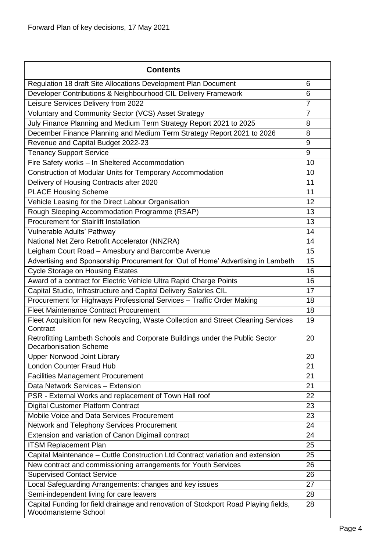| <b>Contents</b>                                                                                               |                |
|---------------------------------------------------------------------------------------------------------------|----------------|
| Regulation 18 draft Site Allocations Development Plan Document                                                | 6              |
| Developer Contributions & Neighbourhood CIL Delivery Framework                                                | 6              |
| Leisure Services Delivery from 2022                                                                           | $\overline{7}$ |
| Voluntary and Community Sector (VCS) Asset Strategy                                                           | $\overline{7}$ |
| July Finance Planning and Medium Term Strategy Report 2021 to 2025                                            | 8              |
| December Finance Planning and Medium Term Strategy Report 2021 to 2026                                        | 8              |
| Revenue and Capital Budget 2022-23                                                                            | 9              |
| <b>Tenancy Support Service</b>                                                                                | 9              |
| Fire Safety works - In Sheltered Accommodation                                                                | 10             |
| Construction of Modular Units for Temporary Accommodation                                                     | 10             |
| Delivery of Housing Contracts after 2020                                                                      | 11             |
| <b>PLACE Housing Scheme</b>                                                                                   | 11             |
| Vehicle Leasing for the Direct Labour Organisation                                                            | 12             |
| Rough Sleeping Accommodation Programme (RSAP)                                                                 | 13             |
| <b>Procurement for Stairlift Installation</b>                                                                 | 13             |
| Vulnerable Adults' Pathway                                                                                    | 14             |
| National Net Zero Retrofit Accelerator (NNZRA)                                                                | 14             |
| Leigham Court Road - Amesbury and Barcombe Avenue                                                             | 15             |
| Advertising and Sponsorship Procurement for 'Out of Home' Advertising in Lambeth                              | 15             |
| <b>Cycle Storage on Housing Estates</b>                                                                       | 16             |
| Award of a contract for Electric Vehicle Ultra Rapid Charge Points                                            | 16             |
| Capital Studio, Infrastructure and Capital Delivery Salaries CIL                                              | 17             |
| Procurement for Highways Professional Services - Traffic Order Making                                         | 18             |
| <b>Fleet Maintenance Contract Procurement</b>                                                                 | 18             |
| Fleet Acquisition for new Recycling, Waste Collection and Street Cleaning Services<br>Contract                | 19             |
| Retrofitting Lambeth Schools and Corporate Buildings under the Public Sector<br><b>Decarbonisation Scheme</b> | 20             |
| <b>Upper Norwood Joint Library</b>                                                                            | 20             |
| <b>London Counter Fraud Hub</b>                                                                               | 21             |
| <b>Facilities Management Procurement</b>                                                                      | 21             |
| Data Network Services - Extension                                                                             | 21             |
| PSR - External Works and replacement of Town Hall roof                                                        | 22             |
| <b>Digital Customer Platform Contract</b>                                                                     | 23             |
| Mobile Voice and Data Services Procurement                                                                    | 23             |
| Network and Telephony Services Procurement                                                                    | 24             |
| Extension and variation of Canon Digimail contract                                                            | 24             |
| <b>ITSM Replacement Plan</b>                                                                                  | 25             |
| Capital Maintenance – Cuttle Construction Ltd Contract variation and extension                                | 25             |
| New contract and commissioning arrangements for Youth Services                                                | 26             |
| <b>Supervised Contact Service</b>                                                                             | 26             |
| Local Safeguarding Arrangements: changes and key issues                                                       | 27             |
| Semi-independent living for care leavers                                                                      | 28             |
| Capital Funding for field drainage and renovation of Stockport Road Playing fields,<br>Woodmansterne School   | 28             |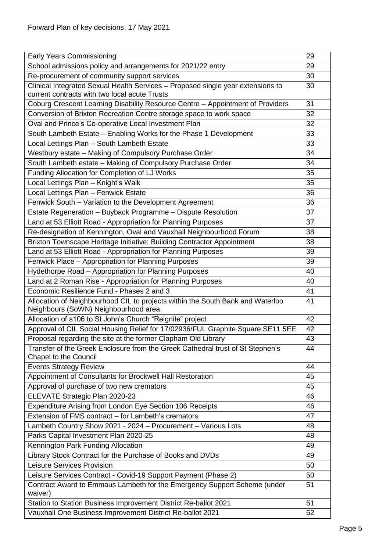| <b>Early Years Commissioning</b>                                                                                        | 29 |
|-------------------------------------------------------------------------------------------------------------------------|----|
| School admissions policy and arrangements for 2021/22 entry                                                             | 29 |
| Re-procurement of community support services                                                                            | 30 |
| Clinical Integrated Sexual Health Services - Proposed single year extensions to                                         | 30 |
| current contracts with two local acute Trusts                                                                           |    |
| Coburg Crescent Learning Disability Resource Centre - Appointment of Providers                                          | 31 |
| Conversion of Brixton Recreation Centre storage space to work space                                                     | 32 |
| Oval and Prince's Co-operative Local Investment Plan                                                                    | 32 |
| South Lambeth Estate - Enabling Works for the Phase 1 Development                                                       | 33 |
| Local Lettings Plan - South Lambeth Estate                                                                              | 33 |
| Westbury estate - Making of Compulsory Purchase Order                                                                   | 34 |
| South Lambeth estate - Making of Compulsory Purchase Order                                                              | 34 |
| Funding Allocation for Completion of LJ Works                                                                           | 35 |
| Local Lettings Plan - Knight's Walk                                                                                     | 35 |
| Local Lettings Plan - Fenwick Estate                                                                                    | 36 |
| Fenwick South - Variation to the Development Agreement                                                                  | 36 |
| Estate Regeneration - Buyback Programme - Dispute Resolution                                                            | 37 |
| Land at 53 Elliott Road - Appropriation for Planning Purposes                                                           | 37 |
| Re-designation of Kennington, Oval and Vauxhall Neighbourhood Forum                                                     | 38 |
| Brixton Townscape Heritage Initiative: Building Contractor Appointment                                                  | 38 |
| Land at 53 Elliott Road - Appropriation for Planning Purposes                                                           | 39 |
| Fenwick Place - Appropriation for Planning Purposes                                                                     | 39 |
| Hydethorpe Road - Appropriation for Planning Purposes                                                                   | 40 |
| Land at 2 Roman Rise - Appropriation for Planning Purposes                                                              | 40 |
| Economic Resilience Fund - Phases 2 and 3                                                                               | 41 |
| Allocation of Neighbourhood CIL to projects within the South Bank and Waterloo<br>Neighbours (SoWN) Neighbourhood area. | 41 |
| Allocation of s106 to St John's Church "Reignite" project                                                               | 42 |
| Approval of CIL Social Housing Relief for 17/02936/FUL Graphite Square SE11 5EE                                         | 42 |
| Proposal regarding the site at the former Clapham Old Library                                                           | 43 |
| Transfer of the Greek Enclosure from the Greek Cathedral trust of St Stephen's<br><b>Chapel to the Council</b>          | 44 |
| <b>Events Strategy Review</b>                                                                                           | 44 |
| Appointment of Consultants for Brockwell Hall Restoration                                                               | 45 |
| Approval of purchase of two new cremators                                                                               | 45 |
| ELEVATE Strategic Plan 2020-23                                                                                          | 46 |
| Expenditure Arising from London Eye Section 106 Receipts                                                                | 46 |
| Extension of FMS contract - for Lambeth's cremators                                                                     | 47 |
| Lambeth Country Show 2021 - 2024 - Procurement - Various Lots                                                           | 48 |
| Parks Capital Investment Plan 2020-25                                                                                   | 48 |
| Kennington Park Funding Allocation                                                                                      | 49 |
| Library Stock Contract for the Purchase of Books and DVDs                                                               | 49 |
| <b>Leisure Services Provision</b>                                                                                       | 50 |
| Leisure Services Contract - Covid-19 Support Payment (Phase 2)                                                          | 50 |
| Contract Award to Emmaus Lambeth for the Emergency Support Scheme (under<br>waiver)                                     | 51 |
| Station to Station Business Improvement District Re-ballot 2021                                                         | 51 |
| Vauxhall One Business Improvement District Re-ballot 2021                                                               | 52 |
|                                                                                                                         |    |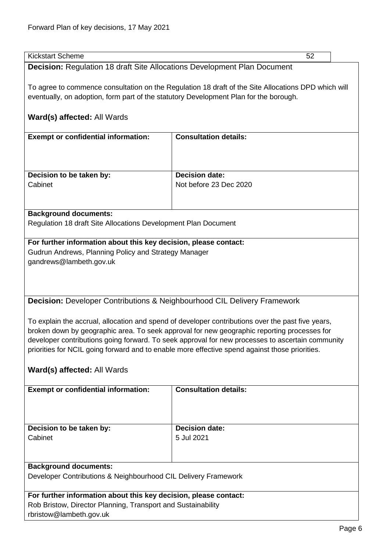<span id="page-5-1"></span><span id="page-5-0"></span>

| <b>Kickstart Scheme</b><br>52                                                                                                                                                                                                                                                   |                                                                                                                                                                                                    |  |
|---------------------------------------------------------------------------------------------------------------------------------------------------------------------------------------------------------------------------------------------------------------------------------|----------------------------------------------------------------------------------------------------------------------------------------------------------------------------------------------------|--|
|                                                                                                                                                                                                                                                                                 |                                                                                                                                                                                                    |  |
| <b>Decision: Regulation 18 draft Site Allocations Development Plan Document</b><br>To agree to commence consultation on the Regulation 18 draft of the Site Allocations DPD which will<br>eventually, on adoption, form part of the statutory Development Plan for the borough. |                                                                                                                                                                                                    |  |
| Ward(s) affected: All Wards                                                                                                                                                                                                                                                     |                                                                                                                                                                                                    |  |
| <b>Exempt or confidential information:</b>                                                                                                                                                                                                                                      | <b>Consultation details:</b>                                                                                                                                                                       |  |
|                                                                                                                                                                                                                                                                                 |                                                                                                                                                                                                    |  |
| Decision to be taken by:                                                                                                                                                                                                                                                        | <b>Decision date:</b>                                                                                                                                                                              |  |
| Cabinet                                                                                                                                                                                                                                                                         | Not before 23 Dec 2020                                                                                                                                                                             |  |
|                                                                                                                                                                                                                                                                                 |                                                                                                                                                                                                    |  |
| <b>Background documents:</b>                                                                                                                                                                                                                                                    |                                                                                                                                                                                                    |  |
| Regulation 18 draft Site Allocations Development Plan Document                                                                                                                                                                                                                  |                                                                                                                                                                                                    |  |
| For further information about this key decision, please contact:                                                                                                                                                                                                                |                                                                                                                                                                                                    |  |
| Gudrun Andrews, Planning Policy and Strategy Manager                                                                                                                                                                                                                            |                                                                                                                                                                                                    |  |
| gandrews@lambeth.gov.uk                                                                                                                                                                                                                                                         |                                                                                                                                                                                                    |  |
|                                                                                                                                                                                                                                                                                 |                                                                                                                                                                                                    |  |
|                                                                                                                                                                                                                                                                                 |                                                                                                                                                                                                    |  |
|                                                                                                                                                                                                                                                                                 |                                                                                                                                                                                                    |  |
| <b>Decision:</b> Developer Contributions & Neighbourhood CIL Delivery Framework                                                                                                                                                                                                 |                                                                                                                                                                                                    |  |
| To explain the accrual, allocation and spend of developer contributions over the past five years,                                                                                                                                                                               |                                                                                                                                                                                                    |  |
|                                                                                                                                                                                                                                                                                 |                                                                                                                                                                                                    |  |
|                                                                                                                                                                                                                                                                                 | broken down by geographic area. To seek approval for new geographic reporting processes for                                                                                                        |  |
|                                                                                                                                                                                                                                                                                 | developer contributions going forward. To seek approval for new processes to ascertain community<br>priorities for NCIL going forward and to enable more effective spend against those priorities. |  |
|                                                                                                                                                                                                                                                                                 |                                                                                                                                                                                                    |  |
| Ward(s) affected: All Wards                                                                                                                                                                                                                                                     |                                                                                                                                                                                                    |  |
| <b>Exempt or confidential information:</b>                                                                                                                                                                                                                                      | <b>Consultation details:</b>                                                                                                                                                                       |  |
|                                                                                                                                                                                                                                                                                 |                                                                                                                                                                                                    |  |
|                                                                                                                                                                                                                                                                                 |                                                                                                                                                                                                    |  |
|                                                                                                                                                                                                                                                                                 |                                                                                                                                                                                                    |  |
| Decision to be taken by:                                                                                                                                                                                                                                                        | <b>Decision date:</b>                                                                                                                                                                              |  |
| Cabinet                                                                                                                                                                                                                                                                         | 5 Jul 2021                                                                                                                                                                                         |  |
|                                                                                                                                                                                                                                                                                 |                                                                                                                                                                                                    |  |
|                                                                                                                                                                                                                                                                                 |                                                                                                                                                                                                    |  |
| <b>Background documents:</b>                                                                                                                                                                                                                                                    |                                                                                                                                                                                                    |  |
| Developer Contributions & Neighbourhood CIL Delivery Framework                                                                                                                                                                                                                  |                                                                                                                                                                                                    |  |
| For further information about this key decision, please contact:                                                                                                                                                                                                                |                                                                                                                                                                                                    |  |
| Rob Bristow, Director Planning, Transport and Sustainability                                                                                                                                                                                                                    |                                                                                                                                                                                                    |  |
| rbristow@lambeth.gov.uk                                                                                                                                                                                                                                                         |                                                                                                                                                                                                    |  |
|                                                                                                                                                                                                                                                                                 |                                                                                                                                                                                                    |  |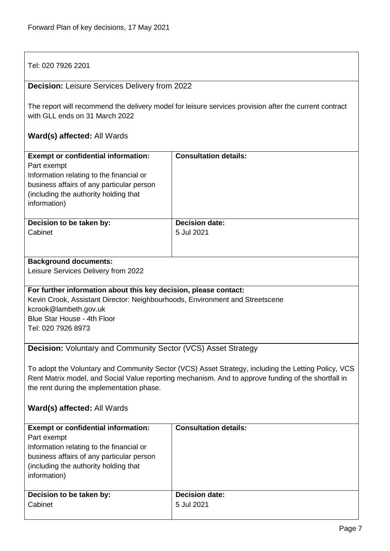<span id="page-6-1"></span><span id="page-6-0"></span>

| Tel: 020 7926 2201                                                                                                                                                                                                                                                                     |                              |  |
|----------------------------------------------------------------------------------------------------------------------------------------------------------------------------------------------------------------------------------------------------------------------------------------|------------------------------|--|
| <b>Decision: Leisure Services Delivery from 2022</b>                                                                                                                                                                                                                                   |                              |  |
| The report will recommend the delivery model for leisure services provision after the current contract<br>with GLL ends on 31 March 2022                                                                                                                                               |                              |  |
| <b>Ward(s) affected: All Wards</b>                                                                                                                                                                                                                                                     |                              |  |
| <b>Exempt or confidential information:</b><br>Part exempt<br>Information relating to the financial or<br>business affairs of any particular person<br>(including the authority holding that<br>information)                                                                            | <b>Consultation details:</b> |  |
| Decision to be taken by:                                                                                                                                                                                                                                                               | <b>Decision date:</b>        |  |
| Cabinet                                                                                                                                                                                                                                                                                | 5 Jul 2021                   |  |
| <b>Background documents:</b>                                                                                                                                                                                                                                                           |                              |  |
| Leisure Services Delivery from 2022                                                                                                                                                                                                                                                    |                              |  |
| For further information about this key decision, please contact:                                                                                                                                                                                                                       |                              |  |
| Kevin Crook, Assistant Director: Neighbourhoods, Environment and Streetscene                                                                                                                                                                                                           |                              |  |
| kcrook@lambeth.gov.uk                                                                                                                                                                                                                                                                  |                              |  |
| Blue Star House - 4th Floor                                                                                                                                                                                                                                                            |                              |  |
| Tel: 020 7926 8973                                                                                                                                                                                                                                                                     |                              |  |
| <b>Decision:</b> Voluntary and Community Sector (VCS) Asset Strategy                                                                                                                                                                                                                   |                              |  |
| To adopt the Voluntary and Community Sector (VCS) Asset Strategy, including the Letting Policy, VCS<br>Rent Matrix model, and Social Value reporting mechanism. And to approve funding of the shortfall in<br>the rent during the implementation phase.<br>Ward(s) affected: All Wards |                              |  |
|                                                                                                                                                                                                                                                                                        |                              |  |
| <b>Exempt or confidential information:</b><br>Part exempt                                                                                                                                                                                                                              | <b>Consultation details:</b> |  |
| Information relating to the financial or                                                                                                                                                                                                                                               |                              |  |
| business affairs of any particular person                                                                                                                                                                                                                                              |                              |  |
| (including the authority holding that                                                                                                                                                                                                                                                  |                              |  |
| information)                                                                                                                                                                                                                                                                           |                              |  |
| Decision to be taken by:                                                                                                                                                                                                                                                               | <b>Decision date:</b>        |  |
| Cabinet                                                                                                                                                                                                                                                                                | 5 Jul 2021                   |  |
|                                                                                                                                                                                                                                                                                        |                              |  |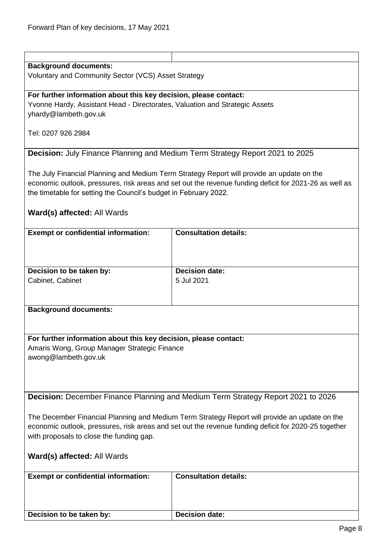<span id="page-7-1"></span><span id="page-7-0"></span>

| <b>Background documents:</b>                                                                         |                                                                                                        |  |
|------------------------------------------------------------------------------------------------------|--------------------------------------------------------------------------------------------------------|--|
| Voluntary and Community Sector (VCS) Asset Strategy                                                  |                                                                                                        |  |
|                                                                                                      |                                                                                                        |  |
| For further information about this key decision, please contact:                                     |                                                                                                        |  |
| Yvonne Hardy, Assistant Head - Directorates, Valuation and Strategic Assets                          |                                                                                                        |  |
| yhardy@lambeth.gov.uk                                                                                |                                                                                                        |  |
|                                                                                                      |                                                                                                        |  |
| Tel: 0207 926 2984                                                                                   |                                                                                                        |  |
|                                                                                                      |                                                                                                        |  |
| <b>Decision:</b> July Finance Planning and Medium Term Strategy Report 2021 to 2025                  |                                                                                                        |  |
|                                                                                                      |                                                                                                        |  |
|                                                                                                      | The July Financial Planning and Medium Term Strategy Report will provide an update on the              |  |
|                                                                                                      | economic outlook, pressures, risk areas and set out the revenue funding deficit for 2021-26 as well as |  |
| the timetable for setting the Council's budget in February 2022.                                     |                                                                                                        |  |
|                                                                                                      |                                                                                                        |  |
|                                                                                                      |                                                                                                        |  |
| Ward(s) affected: All Wards                                                                          |                                                                                                        |  |
|                                                                                                      | <b>Consultation details:</b>                                                                           |  |
| <b>Exempt or confidential information:</b>                                                           |                                                                                                        |  |
|                                                                                                      |                                                                                                        |  |
|                                                                                                      |                                                                                                        |  |
|                                                                                                      |                                                                                                        |  |
| Decision to be taken by:                                                                             | <b>Decision date:</b>                                                                                  |  |
| Cabinet, Cabinet                                                                                     | 5 Jul 2021                                                                                             |  |
|                                                                                                      |                                                                                                        |  |
|                                                                                                      |                                                                                                        |  |
| <b>Background documents:</b>                                                                         |                                                                                                        |  |
|                                                                                                      |                                                                                                        |  |
|                                                                                                      |                                                                                                        |  |
| For further information about this key decision, please contact:                                     |                                                                                                        |  |
| Amaris Wong, Group Manager Strategic Finance                                                         |                                                                                                        |  |
| awong@lambeth.gov.uk                                                                                 |                                                                                                        |  |
|                                                                                                      |                                                                                                        |  |
|                                                                                                      |                                                                                                        |  |
|                                                                                                      |                                                                                                        |  |
|                                                                                                      | Decision: December Finance Planning and Medium Term Strategy Report 2021 to 2026                       |  |
|                                                                                                      |                                                                                                        |  |
| The December Financial Planning and Medium Term Strategy Report will provide an update on the        |                                                                                                        |  |
| economic outlook, pressures, risk areas and set out the revenue funding deficit for 2020-25 together |                                                                                                        |  |
| with proposals to close the funding gap.                                                             |                                                                                                        |  |
|                                                                                                      |                                                                                                        |  |
| Ward(s) affected: All Wards                                                                          |                                                                                                        |  |
|                                                                                                      |                                                                                                        |  |
| <b>Exempt or confidential information:</b>                                                           | <b>Consultation details:</b>                                                                           |  |
|                                                                                                      |                                                                                                        |  |
|                                                                                                      |                                                                                                        |  |
|                                                                                                      |                                                                                                        |  |
|                                                                                                      |                                                                                                        |  |
| Decision to be taken by:                                                                             | <b>Decision date:</b>                                                                                  |  |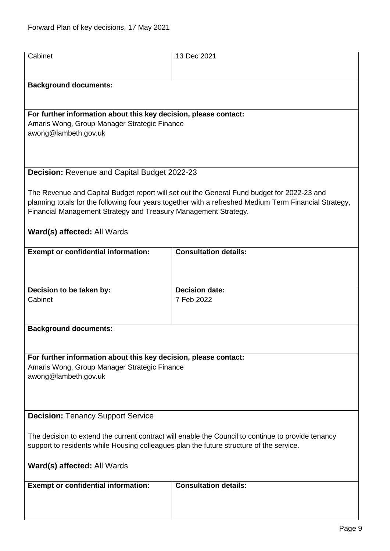<span id="page-8-1"></span><span id="page-8-0"></span>

| Cabinet                                                                                            | 13 Dec 2021                                                                                                                                                                                          |
|----------------------------------------------------------------------------------------------------|------------------------------------------------------------------------------------------------------------------------------------------------------------------------------------------------------|
|                                                                                                    |                                                                                                                                                                                                      |
|                                                                                                    |                                                                                                                                                                                                      |
| <b>Background documents:</b>                                                                       |                                                                                                                                                                                                      |
|                                                                                                    |                                                                                                                                                                                                      |
| For further information about this key decision, please contact:                                   |                                                                                                                                                                                                      |
| Amaris Wong, Group Manager Strategic Finance                                                       |                                                                                                                                                                                                      |
| awong@lambeth.gov.uk                                                                               |                                                                                                                                                                                                      |
|                                                                                                    |                                                                                                                                                                                                      |
|                                                                                                    |                                                                                                                                                                                                      |
| Decision: Revenue and Capital Budget 2022-23                                                       |                                                                                                                                                                                                      |
|                                                                                                    |                                                                                                                                                                                                      |
|                                                                                                    | The Revenue and Capital Budget report will set out the General Fund budget for 2022-23 and<br>planning totals for the following four years together with a refreshed Medium Term Financial Strategy, |
| Financial Management Strategy and Treasury Management Strategy.                                    |                                                                                                                                                                                                      |
|                                                                                                    |                                                                                                                                                                                                      |
| Ward(s) affected: All Wards                                                                        |                                                                                                                                                                                                      |
| <b>Exempt or confidential information:</b>                                                         | <b>Consultation details:</b>                                                                                                                                                                         |
|                                                                                                    |                                                                                                                                                                                                      |
|                                                                                                    |                                                                                                                                                                                                      |
|                                                                                                    |                                                                                                                                                                                                      |
| Decision to be taken by:<br>Cabinet                                                                | <b>Decision date:</b><br>7 Feb 2022                                                                                                                                                                  |
|                                                                                                    |                                                                                                                                                                                                      |
|                                                                                                    |                                                                                                                                                                                                      |
| <b>Background documents:</b>                                                                       |                                                                                                                                                                                                      |
|                                                                                                    |                                                                                                                                                                                                      |
| For further information about this key decision, please contact:                                   |                                                                                                                                                                                                      |
| Amaris Wong, Group Manager Strategic Finance                                                       |                                                                                                                                                                                                      |
| awong@lambeth.gov.uk                                                                               |                                                                                                                                                                                                      |
|                                                                                                    |                                                                                                                                                                                                      |
|                                                                                                    |                                                                                                                                                                                                      |
| <b>Decision: Tenancy Support Service</b>                                                           |                                                                                                                                                                                                      |
|                                                                                                    |                                                                                                                                                                                                      |
| The decision to extend the current contract will enable the Council to continue to provide tenancy |                                                                                                                                                                                                      |
| support to residents while Housing colleagues plan the future structure of the service.            |                                                                                                                                                                                                      |
| Ward(s) affected: All Wards                                                                        |                                                                                                                                                                                                      |
|                                                                                                    |                                                                                                                                                                                                      |
|                                                                                                    |                                                                                                                                                                                                      |
| <b>Exempt or confidential information:</b>                                                         | <b>Consultation details:</b>                                                                                                                                                                         |
|                                                                                                    |                                                                                                                                                                                                      |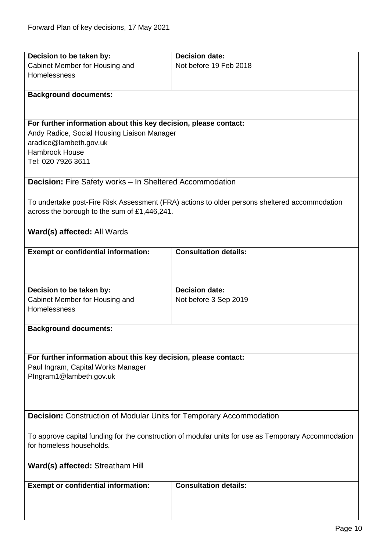<span id="page-9-1"></span><span id="page-9-0"></span>

| Decision to be taken by:                                                                                                        | <b>Decision date:</b>                                                                         |  |
|---------------------------------------------------------------------------------------------------------------------------------|-----------------------------------------------------------------------------------------------|--|
| Cabinet Member for Housing and                                                                                                  | Not before 19 Feb 2018                                                                        |  |
| Homelessness                                                                                                                    |                                                                                               |  |
|                                                                                                                                 |                                                                                               |  |
| <b>Background documents:</b>                                                                                                    |                                                                                               |  |
|                                                                                                                                 |                                                                                               |  |
|                                                                                                                                 |                                                                                               |  |
| For further information about this key decision, please contact:                                                                |                                                                                               |  |
| Andy Radice, Social Housing Liaison Manager                                                                                     |                                                                                               |  |
| aradice@lambeth.gov.uk                                                                                                          |                                                                                               |  |
| <b>Hambrook House</b><br>Tel: 020 7926 3611                                                                                     |                                                                                               |  |
|                                                                                                                                 |                                                                                               |  |
| <b>Decision:</b> Fire Safety works - In Sheltered Accommodation                                                                 |                                                                                               |  |
|                                                                                                                                 |                                                                                               |  |
|                                                                                                                                 | To undertake post-Fire Risk Assessment (FRA) actions to older persons sheltered accommodation |  |
| across the borough to the sum of £1,446,241.                                                                                    |                                                                                               |  |
|                                                                                                                                 |                                                                                               |  |
| Ward(s) affected: All Wards                                                                                                     |                                                                                               |  |
|                                                                                                                                 |                                                                                               |  |
| <b>Exempt or confidential information:</b>                                                                                      | <b>Consultation details:</b>                                                                  |  |
|                                                                                                                                 |                                                                                               |  |
|                                                                                                                                 |                                                                                               |  |
|                                                                                                                                 |                                                                                               |  |
| Decision to be taken by:                                                                                                        | <b>Decision date:</b>                                                                         |  |
| Cabinet Member for Housing and                                                                                                  | Not before 3 Sep 2019                                                                         |  |
| Homelessness                                                                                                                    |                                                                                               |  |
|                                                                                                                                 |                                                                                               |  |
| <b>Background documents:</b>                                                                                                    |                                                                                               |  |
|                                                                                                                                 |                                                                                               |  |
|                                                                                                                                 |                                                                                               |  |
| For further information about this key decision, please contact:                                                                |                                                                                               |  |
| Paul Ingram, Capital Works Manager                                                                                              |                                                                                               |  |
| PIngram1@lambeth.gov.uk                                                                                                         |                                                                                               |  |
|                                                                                                                                 |                                                                                               |  |
|                                                                                                                                 |                                                                                               |  |
| <b>Decision:</b> Construction of Modular Units for Temporary Accommodation                                                      |                                                                                               |  |
|                                                                                                                                 |                                                                                               |  |
|                                                                                                                                 |                                                                                               |  |
| To approve capital funding for the construction of modular units for use as Temporary Accommodation<br>for homeless households. |                                                                                               |  |
|                                                                                                                                 |                                                                                               |  |
| Ward(s) affected: Streatham Hill                                                                                                |                                                                                               |  |
|                                                                                                                                 |                                                                                               |  |
| <b>Exempt or confidential information:</b>                                                                                      | <b>Consultation details:</b>                                                                  |  |
|                                                                                                                                 |                                                                                               |  |
|                                                                                                                                 |                                                                                               |  |
|                                                                                                                                 |                                                                                               |  |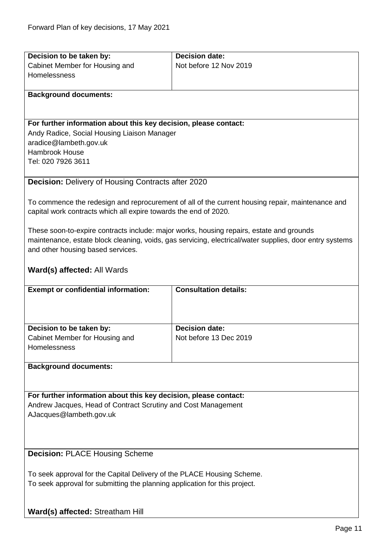<span id="page-10-1"></span><span id="page-10-0"></span>

| Decision to be taken by:                                                   | <b>Decision date:</b>                                                                                   |
|----------------------------------------------------------------------------|---------------------------------------------------------------------------------------------------------|
| Cabinet Member for Housing and                                             | Not before 12 Nov 2019                                                                                  |
| Homelessness                                                               |                                                                                                         |
|                                                                            |                                                                                                         |
| <b>Background documents:</b>                                               |                                                                                                         |
|                                                                            |                                                                                                         |
|                                                                            |                                                                                                         |
| For further information about this key decision, please contact:           |                                                                                                         |
| Andy Radice, Social Housing Liaison Manager                                |                                                                                                         |
| aradice@lambeth.gov.uk                                                     |                                                                                                         |
| <b>Hambrook House</b>                                                      |                                                                                                         |
| Tel: 020 7926 3611                                                         |                                                                                                         |
|                                                                            |                                                                                                         |
| <b>Decision: Delivery of Housing Contracts after 2020</b>                  |                                                                                                         |
|                                                                            |                                                                                                         |
|                                                                            | To commence the redesign and reprocurement of all of the current housing repair, maintenance and        |
| capital work contracts which all expire towards the end of 2020.           |                                                                                                         |
|                                                                            |                                                                                                         |
|                                                                            | These soon-to-expire contracts include: major works, housing repairs, estate and grounds                |
|                                                                            | maintenance, estate block cleaning, voids, gas servicing, electrical/water supplies, door entry systems |
| and other housing based services.                                          |                                                                                                         |
|                                                                            |                                                                                                         |
| Ward(s) affected: All Wards                                                |                                                                                                         |
| <b>Exempt or confidential information:</b>                                 | <b>Consultation details:</b>                                                                            |
|                                                                            |                                                                                                         |
|                                                                            |                                                                                                         |
|                                                                            |                                                                                                         |
|                                                                            |                                                                                                         |
|                                                                            |                                                                                                         |
| Decision to be taken by:                                                   | <b>Decision date:</b>                                                                                   |
| Cabinet Member for Housing and                                             | Not before 13 Dec 2019                                                                                  |
| Homelessness                                                               |                                                                                                         |
|                                                                            |                                                                                                         |
| <b>Background documents:</b>                                               |                                                                                                         |
|                                                                            |                                                                                                         |
| For further information about this key decision, please contact:           |                                                                                                         |
| Andrew Jacques, Head of Contract Scrutiny and Cost Management              |                                                                                                         |
| AJacques@lambeth.gov.uk                                                    |                                                                                                         |
|                                                                            |                                                                                                         |
|                                                                            |                                                                                                         |
|                                                                            |                                                                                                         |
| <b>Decision: PLACE Housing Scheme</b>                                      |                                                                                                         |
|                                                                            |                                                                                                         |
| To seek approval for the Capital Delivery of the PLACE Housing Scheme.     |                                                                                                         |
| To seek approval for submitting the planning application for this project. |                                                                                                         |
|                                                                            |                                                                                                         |
|                                                                            |                                                                                                         |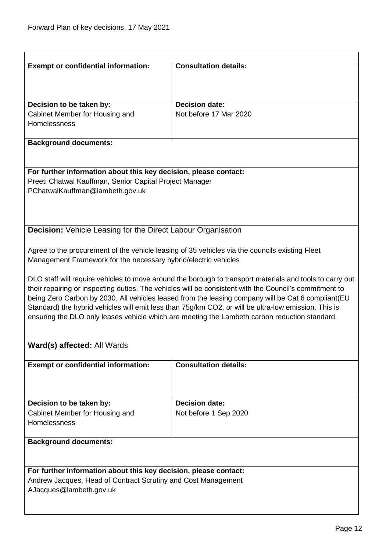<span id="page-11-0"></span>

| <b>Exempt or confidential information:</b>                                                    | <b>Consultation details:</b>                                                                                                                                                                                 |  |
|-----------------------------------------------------------------------------------------------|--------------------------------------------------------------------------------------------------------------------------------------------------------------------------------------------------------------|--|
|                                                                                               |                                                                                                                                                                                                              |  |
|                                                                                               |                                                                                                                                                                                                              |  |
| Decision to be taken by:                                                                      | <b>Decision date:</b>                                                                                                                                                                                        |  |
| Cabinet Member for Housing and                                                                | Not before 17 Mar 2020                                                                                                                                                                                       |  |
| Homelessness                                                                                  |                                                                                                                                                                                                              |  |
| <b>Background documents:</b>                                                                  |                                                                                                                                                                                                              |  |
|                                                                                               |                                                                                                                                                                                                              |  |
| For further information about this key decision, please contact:                              |                                                                                                                                                                                                              |  |
| Preeti Chatwal Kauffman, Senior Capital Project Manager<br>PChatwalKauffman@lambeth.gov.uk    |                                                                                                                                                                                                              |  |
|                                                                                               |                                                                                                                                                                                                              |  |
|                                                                                               |                                                                                                                                                                                                              |  |
| <b>Decision:</b> Vehicle Leasing for the Direct Labour Organisation                           |                                                                                                                                                                                                              |  |
|                                                                                               |                                                                                                                                                                                                              |  |
| Management Framework for the necessary hybrid/electric vehicles                               | Agree to the procurement of the vehicle leasing of 35 vehicles via the councils existing Fleet                                                                                                               |  |
|                                                                                               |                                                                                                                                                                                                              |  |
|                                                                                               | DLO staff will require vehicles to move around the borough to transport materials and tools to carry out                                                                                                     |  |
|                                                                                               | their repairing or inspecting duties. The vehicles will be consistent with the Council's commitment to<br>being Zero Carbon by 2030. All vehicles leased from the leasing company will be Cat 6 compliant(EU |  |
|                                                                                               | Standard) the hybrid vehicles will emit less than 75g/km CO2, or will be ultra-low emission. This is                                                                                                         |  |
| ensuring the DLO only leases vehicle which are meeting the Lambeth carbon reduction standard. |                                                                                                                                                                                                              |  |
|                                                                                               |                                                                                                                                                                                                              |  |
| Ward(s) affected: All Wards                                                                   |                                                                                                                                                                                                              |  |
| <b>Exempt or confidential information:</b>                                                    | <b>Consultation details:</b>                                                                                                                                                                                 |  |
|                                                                                               |                                                                                                                                                                                                              |  |
|                                                                                               |                                                                                                                                                                                                              |  |
| Decision to be taken by:                                                                      | <b>Decision date:</b>                                                                                                                                                                                        |  |
| Cabinet Member for Housing and<br>Homelessness                                                | Not before 1 Sep 2020                                                                                                                                                                                        |  |
|                                                                                               |                                                                                                                                                                                                              |  |
| <b>Background documents:</b>                                                                  |                                                                                                                                                                                                              |  |
|                                                                                               |                                                                                                                                                                                                              |  |
| For further information about this key decision, please contact:                              |                                                                                                                                                                                                              |  |
| Andrew Jacques, Head of Contract Scrutiny and Cost Management                                 |                                                                                                                                                                                                              |  |
| AJacques@lambeth.gov.uk                                                                       |                                                                                                                                                                                                              |  |
|                                                                                               |                                                                                                                                                                                                              |  |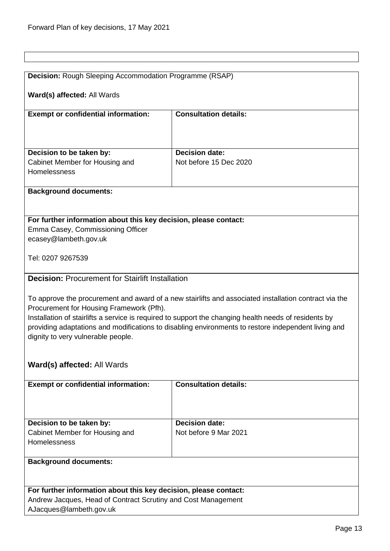<span id="page-12-1"></span><span id="page-12-0"></span>

| Decision: Rough Sleeping Accommodation Programme (RSAP)                                               |                                                                                                       |  |  |
|-------------------------------------------------------------------------------------------------------|-------------------------------------------------------------------------------------------------------|--|--|
|                                                                                                       |                                                                                                       |  |  |
| Ward(s) affected: All Wards                                                                           |                                                                                                       |  |  |
|                                                                                                       |                                                                                                       |  |  |
| <b>Exempt or confidential information:</b>                                                            | <b>Consultation details:</b>                                                                          |  |  |
|                                                                                                       |                                                                                                       |  |  |
|                                                                                                       |                                                                                                       |  |  |
|                                                                                                       |                                                                                                       |  |  |
| Decision to be taken by:                                                                              | <b>Decision date:</b>                                                                                 |  |  |
| Cabinet Member for Housing and                                                                        | Not before 15 Dec 2020                                                                                |  |  |
| Homelessness                                                                                          |                                                                                                       |  |  |
|                                                                                                       |                                                                                                       |  |  |
| <b>Background documents:</b>                                                                          |                                                                                                       |  |  |
|                                                                                                       |                                                                                                       |  |  |
|                                                                                                       |                                                                                                       |  |  |
| For further information about this key decision, please contact:                                      |                                                                                                       |  |  |
| Emma Casey, Commissioning Officer                                                                     |                                                                                                       |  |  |
| ecasey@lambeth.gov.uk                                                                                 |                                                                                                       |  |  |
|                                                                                                       |                                                                                                       |  |  |
| Tel: 0207 9267539                                                                                     |                                                                                                       |  |  |
|                                                                                                       |                                                                                                       |  |  |
| <b>Decision: Procurement for Stairlift Installation</b>                                               |                                                                                                       |  |  |
|                                                                                                       |                                                                                                       |  |  |
|                                                                                                       | To approve the procurement and award of a new stairlifts and associated installation contract via the |  |  |
| Procurement for Housing Framework (Pfh).                                                              |                                                                                                       |  |  |
| Installation of stairlifts a service is required to support the changing health needs of residents by |                                                                                                       |  |  |
|                                                                                                       | providing adaptations and modifications to disabling environments to restore independent living and   |  |  |
| dignity to very vulnerable people.                                                                    |                                                                                                       |  |  |
|                                                                                                       |                                                                                                       |  |  |
|                                                                                                       |                                                                                                       |  |  |
| Ward(s) affected: All Wards                                                                           |                                                                                                       |  |  |
|                                                                                                       |                                                                                                       |  |  |
| <b>Exempt or confidential information:</b>                                                            | <b>Consultation details:</b>                                                                          |  |  |
|                                                                                                       |                                                                                                       |  |  |
|                                                                                                       |                                                                                                       |  |  |
|                                                                                                       |                                                                                                       |  |  |
| Decision to be taken by:                                                                              | <b>Decision date:</b>                                                                                 |  |  |
| Cabinet Member for Housing and                                                                        | Not before 9 Mar 2021                                                                                 |  |  |
| Homelessness                                                                                          |                                                                                                       |  |  |
|                                                                                                       |                                                                                                       |  |  |
| <b>Background documents:</b>                                                                          |                                                                                                       |  |  |
|                                                                                                       |                                                                                                       |  |  |
|                                                                                                       |                                                                                                       |  |  |
| For further information about this key decision, please contact:                                      |                                                                                                       |  |  |
| Andrew Jacques, Head of Contract Scrutiny and Cost Management<br>AJacques@lambeth.gov.uk              |                                                                                                       |  |  |
|                                                                                                       |                                                                                                       |  |  |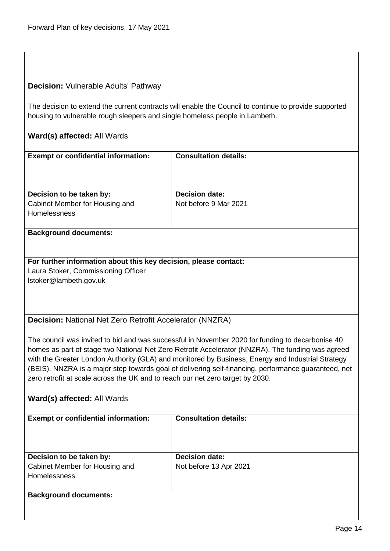#### <span id="page-13-0"></span>**Decision:** Vulnerable Adults' Pathway

The decision to extend the current contracts will enable the Council to continue to provide supported housing to vulnerable rough sleepers and single homeless people in Lambeth.

#### **Ward(s) affected:** All Wards

| <b>Exempt or confidential information:</b> | <b>Consultation details:</b> |
|--------------------------------------------|------------------------------|
| Decision to be taken by:                   | <b>Decision date:</b>        |
| Cabinet Member for Housing and             | Not before 9 Mar 2021        |
| <b>Homelessness</b>                        |                              |
|                                            |                              |

#### **Background documents:**

**For further information about this key decision, please contact:** Laura Stoker, Commissioning Officer lstoker@lambeth.gov.uk

<span id="page-13-1"></span>**Decision:** National Net Zero Retrofit Accelerator (NNZRA)

The council was invited to bid and was successful in November 2020 for funding to decarbonise 40 homes as part of stage two National Net Zero Retrofit Accelerator (NNZRA). The funding was agreed with the Greater London Authority (GLA) and monitored by Business, Energy and Industrial Strategy (BEIS). NNZRA is a major step towards goal of delivering self-financing, performance guaranteed, net zero retrofit at scale across the UK and to reach our net zero target by 2030.

| <b>Exempt or confidential information:</b> | <b>Consultation details:</b> |
|--------------------------------------------|------------------------------|
| Decision to be taken by:                   | <b>Decision date:</b>        |
| Cabinet Member for Housing and             | Not before 13 Apr 2021       |
| <b>Homelessness</b>                        |                              |
|                                            |                              |
| <b>Background documents:</b>               |                              |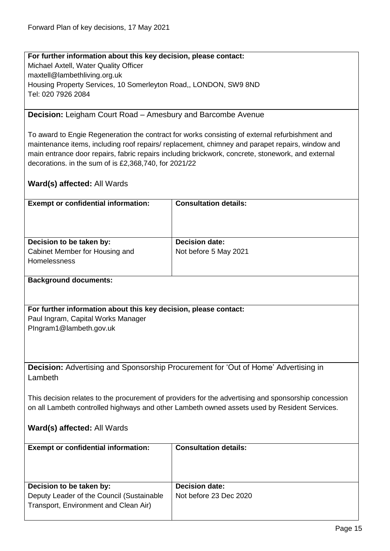**For further information about this key decision, please contact:** Michael Axtell, Water Quality Officer maxtell@lambethliving.org.uk Housing Property Services, 10 Somerleyton Road,, LONDON, SW9 8ND Tel: 020 7926 2084

<span id="page-14-0"></span>**Decision:** Leigham Court Road – Amesbury and Barcombe Avenue

To award to Engie Regeneration the contract for works consisting of external refurbishment and maintenance items, including roof repairs/ replacement, chimney and parapet repairs, window and main entrance door repairs, fabric repairs including brickwork, concrete, stonework, and external decorations. in the sum of is £2,368,740, for 2021/22

<span id="page-14-1"></span>

| <b>Exempt or confidential information:</b>                                                   | <b>Consultation details:</b>                                                                         |  |
|----------------------------------------------------------------------------------------------|------------------------------------------------------------------------------------------------------|--|
|                                                                                              |                                                                                                      |  |
|                                                                                              |                                                                                                      |  |
|                                                                                              |                                                                                                      |  |
| Decision to be taken by:                                                                     | <b>Decision date:</b>                                                                                |  |
| Cabinet Member for Housing and                                                               | Not before 5 May 2021                                                                                |  |
| Homelessness                                                                                 |                                                                                                      |  |
|                                                                                              |                                                                                                      |  |
|                                                                                              |                                                                                                      |  |
| <b>Background documents:</b>                                                                 |                                                                                                      |  |
|                                                                                              |                                                                                                      |  |
|                                                                                              |                                                                                                      |  |
| For further information about this key decision, please contact:                             |                                                                                                      |  |
| Paul Ingram, Capital Works Manager                                                           |                                                                                                      |  |
| PIngram1@lambeth.gov.uk                                                                      |                                                                                                      |  |
|                                                                                              |                                                                                                      |  |
|                                                                                              |                                                                                                      |  |
|                                                                                              |                                                                                                      |  |
|                                                                                              | Decision: Advertising and Sponsorship Procurement for 'Out of Home' Advertising in                   |  |
| Lambeth                                                                                      |                                                                                                      |  |
|                                                                                              |                                                                                                      |  |
|                                                                                              |                                                                                                      |  |
|                                                                                              | This decision relates to the procurement of providers for the advertising and sponsorship concession |  |
| on all Lambeth controlled highways and other Lambeth owned assets used by Resident Services. |                                                                                                      |  |
|                                                                                              |                                                                                                      |  |
| Ward(s) affected: All Wards                                                                  |                                                                                                      |  |
|                                                                                              |                                                                                                      |  |
| <b>Exempt or confidential information:</b>                                                   | <b>Consultation details:</b>                                                                         |  |
|                                                                                              |                                                                                                      |  |
|                                                                                              |                                                                                                      |  |
|                                                                                              |                                                                                                      |  |
| Decision to be taken by:                                                                     | <b>Decision date:</b>                                                                                |  |
| Deputy Leader of the Council (Sustainable                                                    | Not before 23 Dec 2020                                                                               |  |
| Transport, Environment and Clean Air)                                                        |                                                                                                      |  |
|                                                                                              |                                                                                                      |  |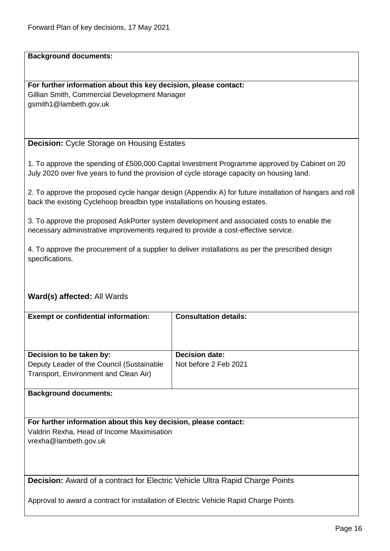**For further information about this key decision, please contact:** Gillian Smith, Commercial Development Manager gsmith1@lambeth.gov.uk

<span id="page-15-0"></span>**Decision:** Cycle Storage on Housing Estates

1. To approve the spending of £500,000 Capital Investment Programme approved by Cabinet on 20 July 2020 over five years to fund the provision of cycle storage capacity on housing land.

2. To approve the proposed cycle hangar design (Appendix A) for future installation of hangars and roll back the existing Cyclehoop breadbin type installations on housing estates.

3. To approve the proposed AskPorter system development and associated costs to enable the necessary administrative improvements required to provide a cost-effective service.

4. To approve the procurement of a supplier to deliver installations as per the prescribed design specifications.

#### **Ward(s) affected:** All Wards

| <b>Exempt or confidential information:</b> | <b>Consultation details:</b> |
|--------------------------------------------|------------------------------|
| Decision to be taken by:                   | <b>Decision date:</b>        |
| Deputy Leader of the Council (Sustainable  | Not before 2 Feb 2021        |
| Transport, Environment and Clean Air)      |                              |

#### **Background documents:**

**For further information about this key decision, please contact:** Valdrin Rexha, Head of Income Maximisation vrexha@lambeth.gov.uk

<span id="page-15-1"></span>**Decision:** Award of a contract for Electric Vehicle Ultra Rapid Charge Points

Approval to award a contract for installation of Electric Vehicle Rapid Charge Points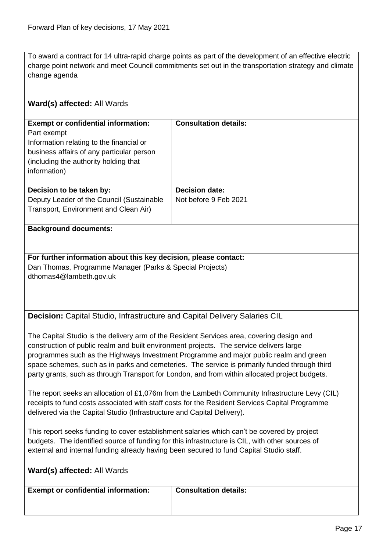To award a contract for 14 ultra-rapid charge points as part of the development of an effective electric charge point network and meet Council commitments set out in the transportation strategy and climate change agenda

#### **Ward(s) affected:** All Wards

| <b>Exempt or confidential information:</b><br>Part exempt<br>Information relating to the financial or<br>business affairs of any particular person<br>(including the authority holding that)<br>information) | <b>Consultation details:</b> |
|--------------------------------------------------------------------------------------------------------------------------------------------------------------------------------------------------------------|------------------------------|
| Decision to be taken by:                                                                                                                                                                                     | <b>Decision date:</b>        |
| Deputy Leader of the Council (Sustainable                                                                                                                                                                    | Not before 9 Feb 2021        |
| Transport, Environment and Clean Air)                                                                                                                                                                        |                              |

#### **Background documents:**

**For further information about this key decision, please contact:** Dan Thomas, Programme Manager (Parks & Special Projects) dthomas4@lambeth.gov.uk

<span id="page-16-0"></span>**Decision:** Capital Studio, Infrastructure and Capital Delivery Salaries CIL

The Capital Studio is the delivery arm of the Resident Services area, covering design and construction of public realm and built environment projects. The service delivers large programmes such as the Highways Investment Programme and major public realm and green space schemes, such as in parks and cemeteries. The service is primarily funded through third party grants, such as through Transport for London, and from within allocated project budgets.

The report seeks an allocation of £1,076m from the Lambeth Community Infrastructure Levy (CIL) receipts to fund costs associated with staff costs for the Resident Services Capital Programme delivered via the Capital Studio (Infrastructure and Capital Delivery).

This report seeks funding to cover establishment salaries which can't be covered by project budgets. The identified source of funding for this infrastructure is CIL, with other sources of external and internal funding already having been secured to fund Capital Studio staff.

| <b>Exempt or confidential information:</b> | <b>Consultation details:</b> |  |
|--------------------------------------------|------------------------------|--|
|                                            |                              |  |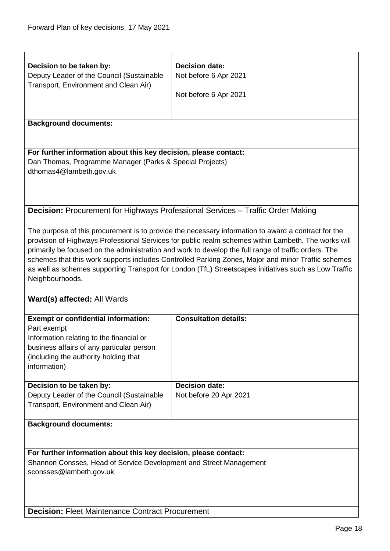<span id="page-17-1"></span><span id="page-17-0"></span>

| Decision to be taken by:                                           | <b>Decision date:</b>                                                                                 |  |
|--------------------------------------------------------------------|-------------------------------------------------------------------------------------------------------|--|
| Deputy Leader of the Council (Sustainable                          | Not before 6 Apr 2021                                                                                 |  |
| Transport, Environment and Clean Air)                              |                                                                                                       |  |
|                                                                    | Not before 6 Apr 2021                                                                                 |  |
|                                                                    |                                                                                                       |  |
|                                                                    |                                                                                                       |  |
| <b>Background documents:</b>                                       |                                                                                                       |  |
|                                                                    |                                                                                                       |  |
|                                                                    |                                                                                                       |  |
| For further information about this key decision, please contact:   |                                                                                                       |  |
| Dan Thomas, Programme Manager (Parks & Special Projects)           |                                                                                                       |  |
| dthomas4@lambeth.gov.uk                                            |                                                                                                       |  |
|                                                                    |                                                                                                       |  |
|                                                                    |                                                                                                       |  |
|                                                                    |                                                                                                       |  |
|                                                                    |                                                                                                       |  |
|                                                                    | <b>Decision: Procurement for Highways Professional Services - Traffic Order Making</b>                |  |
|                                                                    |                                                                                                       |  |
|                                                                    | The purpose of this procurement is to provide the necessary information to award a contract for the   |  |
|                                                                    | provision of Highways Professional Services for public realm schemes within Lambeth. The works will   |  |
|                                                                    | primarily be focused on the administration and work to develop the full range of traffic orders. The  |  |
|                                                                    | schemes that this work supports includes Controlled Parking Zones, Major and minor Traffic schemes    |  |
|                                                                    | as well as schemes supporting Transport for London (TfL) Streetscapes initiatives such as Low Traffic |  |
| Neighbourhoods.                                                    |                                                                                                       |  |
|                                                                    |                                                                                                       |  |
|                                                                    |                                                                                                       |  |
| Ward(s) affected: All Wards                                        |                                                                                                       |  |
|                                                                    |                                                                                                       |  |
| <b>Exempt or confidential information:</b>                         | <b>Consultation details:</b>                                                                          |  |
| Part exempt                                                        |                                                                                                       |  |
| Information relating to the financial or                           |                                                                                                       |  |
| business affairs of any particular person                          |                                                                                                       |  |
| (including the authority holding that                              |                                                                                                       |  |
| information)                                                       |                                                                                                       |  |
|                                                                    |                                                                                                       |  |
| Decision to be taken by:                                           | <b>Decision date:</b>                                                                                 |  |
| Deputy Leader of the Council (Sustainable                          | Not before 20 Apr 2021                                                                                |  |
| Transport, Environment and Clean Air)                              |                                                                                                       |  |
|                                                                    |                                                                                                       |  |
| <b>Background documents:</b>                                       |                                                                                                       |  |
|                                                                    |                                                                                                       |  |
|                                                                    |                                                                                                       |  |
|                                                                    |                                                                                                       |  |
| For further information about this key decision, please contact:   |                                                                                                       |  |
| Shannon Consses, Head of Service Development and Street Management |                                                                                                       |  |
| sconsses@lambeth.gov.uk                                            |                                                                                                       |  |
|                                                                    |                                                                                                       |  |
|                                                                    |                                                                                                       |  |
|                                                                    |                                                                                                       |  |
| <b>Decision: Fleet Maintenance Contract Procurement</b>            |                                                                                                       |  |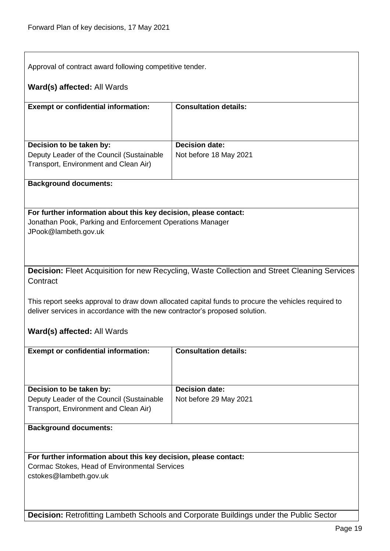Approval of contract award following competitive tender.

#### **Ward(s) affected:** All Wards

| <b>Exempt or confidential information:</b>                                         | <b>Consultation details:</b> |
|------------------------------------------------------------------------------------|------------------------------|
| Decision to be taken by:                                                           | <b>Decision date:</b>        |
| Deputy Leader of the Council (Sustainable<br>Transport, Environment and Clean Air) | Not before 18 May 2021       |
|                                                                                    |                              |

#### **Background documents:**

#### **For further information about this key decision, please contact:** Jonathan Pook, Parking and Enforcement Operations Manager JPook@lambeth.gov.uk

<span id="page-18-0"></span>**Decision:** Fleet Acquisition for new Recycling, Waste Collection and Street Cleaning Services **Contract** 

This report seeks approval to draw down allocated capital funds to procure the vehicles required to deliver services in accordance with the new contractor's proposed solution.

#### **Ward(s) affected:** All Wards

| <b>Exempt or confidential information:</b>                                                                     | <b>Consultation details:</b>                    |
|----------------------------------------------------------------------------------------------------------------|-------------------------------------------------|
| Decision to be taken by:<br>Deputy Leader of the Council (Sustainable<br>Transport, Environment and Clean Air) | <b>Decision date:</b><br>Not before 29 May 2021 |
| The electronic of the contractor of a                                                                          |                                                 |

#### **Background documents:**

**For further information about this key decision, please contact:** Cormac Stokes, Head of Environmental Services cstokes@lambeth.gov.uk

**Decision:** Retrofitting Lambeth Schools and Corporate Buildings under the Public Sector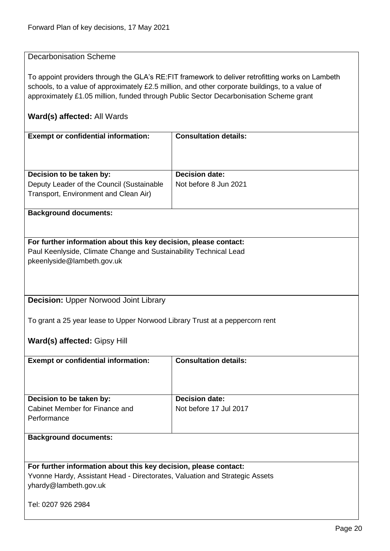<span id="page-19-1"></span><span id="page-19-0"></span>

| <b>Decarbonisation Scheme</b>                                                |                                                                                                   |
|------------------------------------------------------------------------------|---------------------------------------------------------------------------------------------------|
|                                                                              |                                                                                                   |
|                                                                              | To appoint providers through the GLA's RE: FIT framework to deliver retrofitting works on Lambeth |
|                                                                              | schools, to a value of approximately £2.5 million, and other corporate buildings, to a value of   |
|                                                                              | approximately £1.05 million, funded through Public Sector Decarbonisation Scheme grant            |
|                                                                              |                                                                                                   |
| Ward(s) affected: All Wards                                                  |                                                                                                   |
| <b>Exempt or confidential information:</b>                                   | <b>Consultation details:</b>                                                                      |
|                                                                              |                                                                                                   |
| Decision to be taken by:                                                     | <b>Decision date:</b>                                                                             |
| Deputy Leader of the Council (Sustainable                                    | Not before 8 Jun 2021                                                                             |
| Transport, Environment and Clean Air)                                        |                                                                                                   |
|                                                                              |                                                                                                   |
| <b>Background documents:</b>                                                 |                                                                                                   |
|                                                                              |                                                                                                   |
| For further information about this key decision, please contact:             |                                                                                                   |
| Paul Keenlyside, Climate Change and Sustainability Technical Lead            |                                                                                                   |
| pkeenlyside@lambeth.gov.uk                                                   |                                                                                                   |
|                                                                              |                                                                                                   |
|                                                                              |                                                                                                   |
|                                                                              |                                                                                                   |
| <b>Decision: Upper Norwood Joint Library</b>                                 |                                                                                                   |
|                                                                              |                                                                                                   |
| To grant a 25 year lease to Upper Norwood Library Trust at a peppercorn rent |                                                                                                   |
|                                                                              |                                                                                                   |
| Ward(s) affected: Gipsy Hill                                                 |                                                                                                   |
|                                                                              | <b>Consultation details:</b>                                                                      |
| <b>Exempt or confidential information:</b>                                   |                                                                                                   |
|                                                                              |                                                                                                   |
|                                                                              |                                                                                                   |
| Decision to be taken by:                                                     | <b>Decision date:</b>                                                                             |
| Cabinet Member for Finance and                                               | Not before 17 Jul 2017                                                                            |
| Performance                                                                  |                                                                                                   |
|                                                                              |                                                                                                   |
| <b>Background documents:</b>                                                 |                                                                                                   |
|                                                                              |                                                                                                   |
|                                                                              |                                                                                                   |
| For further information about this key decision, please contact:             |                                                                                                   |
| Yvonne Hardy, Assistant Head - Directorates, Valuation and Strategic Assets  |                                                                                                   |
| yhardy@lambeth.gov.uk                                                        |                                                                                                   |
| Tel: 0207 926 2984                                                           |                                                                                                   |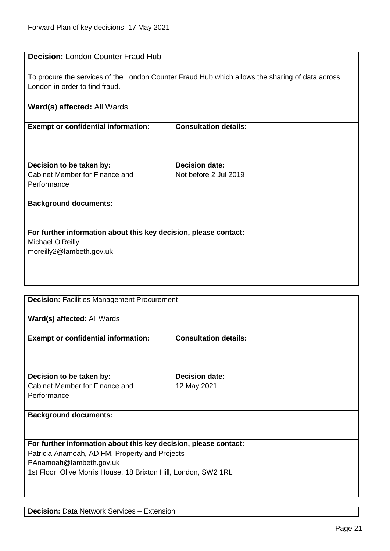#### <span id="page-20-0"></span>**Decision:** London Counter Fraud Hub

To procure the services of the London Counter Fraud Hub which allows the sharing of data across London in order to find fraud.

#### **Ward(s) affected:** All Wards

| <b>Exempt or confidential information:</b>                                | <b>Consultation details:</b>                   |
|---------------------------------------------------------------------------|------------------------------------------------|
| Decision to be taken by:<br>Cabinet Member for Finance and<br>Performance | <b>Decision date:</b><br>Not before 2 Jul 2019 |
| <b>Background documents:</b>                                              |                                                |

# **For further information about this key decision, please contact:** Michael O'Reilly

moreilly2@lambeth.gov.uk

<span id="page-20-1"></span>**Decision:** Facilities Management Procurement

**Ward(s) affected:** All Wards

| <b>Exempt or confidential information:</b> | <b>Consultation details:</b> |
|--------------------------------------------|------------------------------|
| Decision to be taken by:                   | <b>Decision date:</b>        |
| Cabinet Member for Finance and             | 12 May 2021                  |
| Performance                                |                              |
|                                            |                              |
| <b>Background documents:</b>               |                              |

<span id="page-20-2"></span>**For further information about this key decision, please contact:** Patricia Anamoah, AD FM, Property and Projects PAnamoah@lambeth.gov.uk 1st Floor, Olive Morris House, 18 Brixton Hill, London, SW2 1RL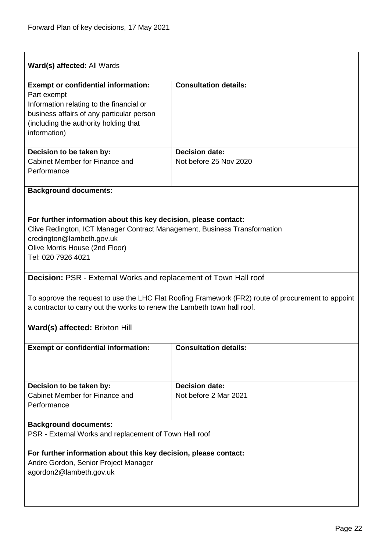<span id="page-21-0"></span>

| Ward(s) affected: All Wards                                                                            |                                                                                                    |
|--------------------------------------------------------------------------------------------------------|----------------------------------------------------------------------------------------------------|
| <b>Exempt or confidential information:</b>                                                             | <b>Consultation details:</b>                                                                       |
| Part exempt                                                                                            |                                                                                                    |
| Information relating to the financial or<br>business affairs of any particular person                  |                                                                                                    |
| (including the authority holding that                                                                  |                                                                                                    |
| information)                                                                                           |                                                                                                    |
| Decision to be taken by:                                                                               | <b>Decision date:</b>                                                                              |
| Cabinet Member for Finance and<br>Performance                                                          | Not before 25 Nov 2020                                                                             |
| <b>Background documents:</b>                                                                           |                                                                                                    |
|                                                                                                        |                                                                                                    |
| For further information about this key decision, please contact:                                       |                                                                                                    |
| Clive Redington, ICT Manager Contract Management, Business Transformation<br>credington@lambeth.gov.uk |                                                                                                    |
| Olive Morris House (2nd Floor)                                                                         |                                                                                                    |
| Tel: 020 7926 4021                                                                                     |                                                                                                    |
|                                                                                                        |                                                                                                    |
| <b>Decision: PSR - External Works and replacement of Town Hall roof</b>                                |                                                                                                    |
|                                                                                                        | To approve the request to use the LHC Flat Roofing Framework (FR2) route of procurement to appoint |
| a contractor to carry out the works to renew the Lambeth town hall roof.                               |                                                                                                    |
|                                                                                                        |                                                                                                    |
| <b>Ward(s) affected: Brixton Hill</b>                                                                  |                                                                                                    |
| <b>Exempt or confidential information:</b>                                                             | <b>Consultation details:</b>                                                                       |
|                                                                                                        |                                                                                                    |
|                                                                                                        |                                                                                                    |
|                                                                                                        |                                                                                                    |
| Decision to be taken by:                                                                               | <b>Decision date:</b>                                                                              |
| Cabinet Member for Finance and<br>Performance                                                          | Not before 2 Mar 2021                                                                              |
|                                                                                                        |                                                                                                    |
| <b>Background documents:</b>                                                                           |                                                                                                    |
| PSR - External Works and replacement of Town Hall roof                                                 |                                                                                                    |
| For further information about this key decision, please contact:                                       |                                                                                                    |
| Andre Gordon, Senior Project Manager                                                                   |                                                                                                    |
| agordon2@lambeth.gov.uk                                                                                |                                                                                                    |
|                                                                                                        |                                                                                                    |
|                                                                                                        |                                                                                                    |
|                                                                                                        |                                                                                                    |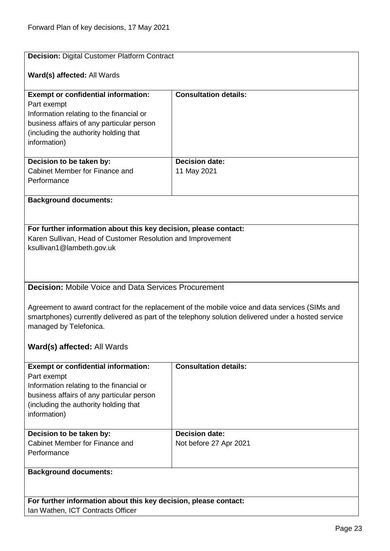<span id="page-22-1"></span><span id="page-22-0"></span>

| <b>Decision: Digital Customer Platform Contract</b>                                                 |                                                                                                 |  |
|-----------------------------------------------------------------------------------------------------|-------------------------------------------------------------------------------------------------|--|
|                                                                                                     |                                                                                                 |  |
| Ward(s) affected: All Wards                                                                         |                                                                                                 |  |
| <b>Exempt or confidential information:</b>                                                          | <b>Consultation details:</b>                                                                    |  |
| Part exempt                                                                                         |                                                                                                 |  |
| Information relating to the financial or                                                            |                                                                                                 |  |
| business affairs of any particular person                                                           |                                                                                                 |  |
| (including the authority holding that<br>information)                                               |                                                                                                 |  |
|                                                                                                     |                                                                                                 |  |
| Decision to be taken by:                                                                            | <b>Decision date:</b>                                                                           |  |
| Cabinet Member for Finance and                                                                      | 11 May 2021                                                                                     |  |
| Performance                                                                                         |                                                                                                 |  |
| <b>Background documents:</b>                                                                        |                                                                                                 |  |
|                                                                                                     |                                                                                                 |  |
| For further information about this key decision, please contact:                                    |                                                                                                 |  |
| Karen Sullivan, Head of Customer Resolution and Improvement                                         |                                                                                                 |  |
| ksullivan1@lambeth.gov.uk                                                                           |                                                                                                 |  |
|                                                                                                     |                                                                                                 |  |
|                                                                                                     |                                                                                                 |  |
| <b>Decision: Mobile Voice and Data Services Procurement</b>                                         |                                                                                                 |  |
|                                                                                                     |                                                                                                 |  |
|                                                                                                     | Agreement to award contract for the replacement of the mobile voice and data services (SIMs and |  |
| smartphones) currently delivered as part of the telephony solution delivered under a hosted service |                                                                                                 |  |
| managed by Telefonica.                                                                              |                                                                                                 |  |
|                                                                                                     |                                                                                                 |  |
| Ward(s) affected: All Wards                                                                         |                                                                                                 |  |
| <b>Exempt or confidential information:</b>                                                          | <b>Consultation details:</b>                                                                    |  |
| Part exempt                                                                                         |                                                                                                 |  |
| Information relating to the financial or                                                            |                                                                                                 |  |
| business affairs of any particular person                                                           |                                                                                                 |  |
| (including the authority holding that<br>information)                                               |                                                                                                 |  |
|                                                                                                     |                                                                                                 |  |
| Decision to be taken by:                                                                            | <b>Decision date:</b>                                                                           |  |
| Cabinet Member for Finance and                                                                      | Not before 27 Apr 2021                                                                          |  |
| Performance                                                                                         |                                                                                                 |  |
| <b>Background documents:</b>                                                                        |                                                                                                 |  |
|                                                                                                     |                                                                                                 |  |
|                                                                                                     |                                                                                                 |  |
| For further information about this key decision, please contact:                                    |                                                                                                 |  |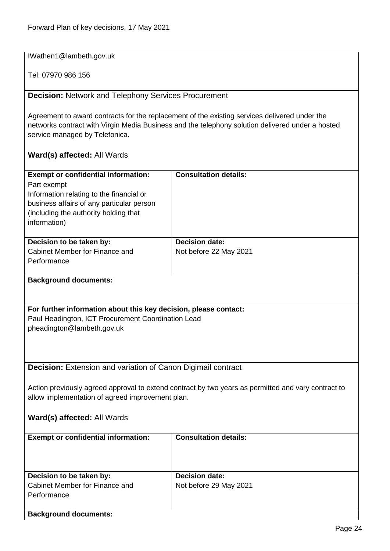IWathen1@lambeth.gov.uk

Tel: 07970 986 156

<span id="page-23-0"></span>**Decision:** Network and Telephony Services Procurement

Agreement to award contracts for the replacement of the existing services delivered under the networks contract with Virgin Media Business and the telephony solution delivered under a hosted service managed by Telefonica.

<span id="page-23-1"></span>

| <b>Exempt or confidential information:</b>                                                          | <b>Consultation details:</b> |  |
|-----------------------------------------------------------------------------------------------------|------------------------------|--|
| Part exempt                                                                                         |                              |  |
| Information relating to the financial or                                                            |                              |  |
| business affairs of any particular person                                                           |                              |  |
| (including the authority holding that                                                               |                              |  |
| information)                                                                                        |                              |  |
|                                                                                                     |                              |  |
| Decision to be taken by:                                                                            | <b>Decision date:</b>        |  |
| Cabinet Member for Finance and                                                                      | Not before 22 May 2021       |  |
| Performance                                                                                         |                              |  |
|                                                                                                     |                              |  |
| <b>Background documents:</b>                                                                        |                              |  |
|                                                                                                     |                              |  |
|                                                                                                     |                              |  |
| For further information about this key decision, please contact:                                    |                              |  |
| Paul Headington, ICT Procurement Coordination Lead                                                  |                              |  |
| pheadington@lambeth.gov.uk                                                                          |                              |  |
|                                                                                                     |                              |  |
|                                                                                                     |                              |  |
|                                                                                                     |                              |  |
| Decision: Extension and variation of Canon Digimail contract                                        |                              |  |
|                                                                                                     |                              |  |
| Action previously agreed approval to extend contract by two years as permitted and vary contract to |                              |  |
| allow implementation of agreed improvement plan.                                                    |                              |  |
|                                                                                                     |                              |  |
| Ward(s) affected: All Wards                                                                         |                              |  |
|                                                                                                     |                              |  |
| <b>Exempt or confidential information:</b>                                                          | <b>Consultation details:</b> |  |
|                                                                                                     |                              |  |
|                                                                                                     |                              |  |
|                                                                                                     |                              |  |
| Decision to be taken by:                                                                            | <b>Decision date:</b>        |  |
| Cabinet Member for Finance and                                                                      | Not before 29 May 2021       |  |
| Performance                                                                                         |                              |  |
|                                                                                                     |                              |  |
| <b>Background documents:</b>                                                                        |                              |  |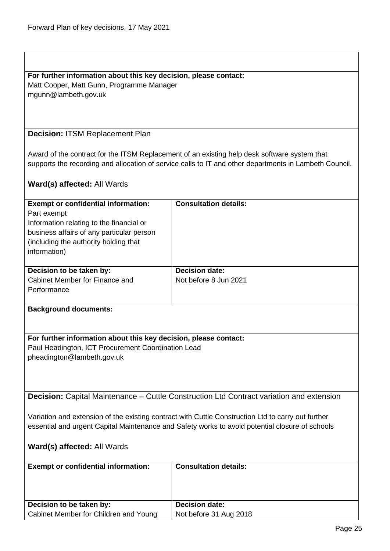#### **For further information about this key decision, please contact:** Matt Cooper, Matt Gunn, Programme Manager

mgunn@lambeth.gov.uk

#### <span id="page-24-0"></span>**Decision:** ITSM Replacement Plan

Award of the contract for the ITSM Replacement of an existing help desk software system that supports the recording and allocation of service calls to IT and other departments in Lambeth Council.

#### **Ward(s) affected:** All Wards

| <b>Exempt or confidential information:</b><br>Part exempt<br>Information relating to the financial or<br>business affairs of any particular person<br>(including the authority holding that)<br>information) | <b>Consultation details:</b>                   |
|--------------------------------------------------------------------------------------------------------------------------------------------------------------------------------------------------------------|------------------------------------------------|
| Decision to be taken by:<br>Cabinet Member for Finance and                                                                                                                                                   | <b>Decision date:</b><br>Not before 8 Jun 2021 |
| Performance                                                                                                                                                                                                  |                                                |

#### **Background documents:**

#### **For further information about this key decision, please contact:**

Paul Headington, ICT Procurement Coordination Lead pheadington@lambeth.gov.uk

<span id="page-24-1"></span>**Decision:** Capital Maintenance – Cuttle Construction Ltd Contract variation and extension

Variation and extension of the existing contract with Cuttle Construction Ltd to carry out further essential and urgent Capital Maintenance and Safety works to avoid potential closure of schools

| <b>Exempt or confidential information:</b> | <b>Consultation details:</b> |
|--------------------------------------------|------------------------------|
| Decision to be taken by:                   | <b>Decision date:</b>        |
| Cabinet Member for Children and Young      | Not before 31 Aug 2018       |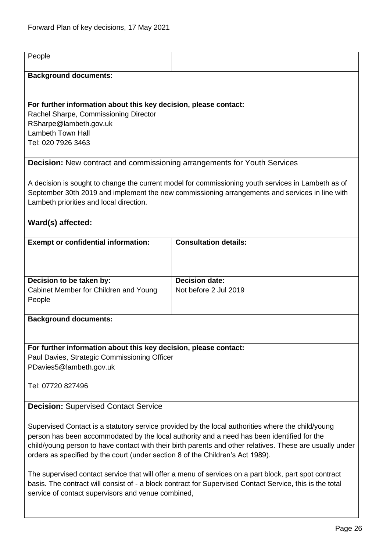<span id="page-25-1"></span><span id="page-25-0"></span>

| People                                                                                                                                                                                                                                                                                   |                              |  |
|------------------------------------------------------------------------------------------------------------------------------------------------------------------------------------------------------------------------------------------------------------------------------------------|------------------------------|--|
| <b>Background documents:</b>                                                                                                                                                                                                                                                             |                              |  |
|                                                                                                                                                                                                                                                                                          |                              |  |
| For further information about this key decision, please contact:                                                                                                                                                                                                                         |                              |  |
| Rachel Sharpe, Commissioning Director<br>RSharpe@lambeth.gov.uk                                                                                                                                                                                                                          |                              |  |
| <b>Lambeth Town Hall</b>                                                                                                                                                                                                                                                                 |                              |  |
| Tel: 020 7926 3463                                                                                                                                                                                                                                                                       |                              |  |
| <b>Decision:</b> New contract and commissioning arrangements for Youth Services                                                                                                                                                                                                          |                              |  |
|                                                                                                                                                                                                                                                                                          |                              |  |
| A decision is sought to change the current model for commissioning youth services in Lambeth as of<br>September 30th 2019 and implement the new commissioning arrangements and services in line with<br>Lambeth priorities and local direction.                                          |                              |  |
| Ward(s) affected:                                                                                                                                                                                                                                                                        |                              |  |
| <b>Exempt or confidential information:</b>                                                                                                                                                                                                                                               | <b>Consultation details:</b> |  |
|                                                                                                                                                                                                                                                                                          |                              |  |
|                                                                                                                                                                                                                                                                                          |                              |  |
| Decision to be taken by:                                                                                                                                                                                                                                                                 | <b>Decision date:</b>        |  |
| Cabinet Member for Children and Young<br>People                                                                                                                                                                                                                                          | Not before 2 Jul 2019        |  |
|                                                                                                                                                                                                                                                                                          |                              |  |
| <b>Background documents:</b>                                                                                                                                                                                                                                                             |                              |  |
|                                                                                                                                                                                                                                                                                          |                              |  |
| For further information about this key decision, please contact:                                                                                                                                                                                                                         |                              |  |
| Paul Davies, Strategic Commissioning Officer                                                                                                                                                                                                                                             |                              |  |
| PDavies5@lambeth.gov.uk                                                                                                                                                                                                                                                                  |                              |  |
| Tel: 07720 827496                                                                                                                                                                                                                                                                        |                              |  |
| <b>Decision: Supervised Contact Service</b>                                                                                                                                                                                                                                              |                              |  |
|                                                                                                                                                                                                                                                                                          |                              |  |
| Supervised Contact is a statutory service provided by the local authorities where the child/young                                                                                                                                                                                        |                              |  |
| person has been accommodated by the local authority and a need has been identified for the<br>child/young person to have contact with their birth parents and other relatives. These are usually under<br>orders as specified by the court (under section 8 of the Children's Act 1989). |                              |  |
| The supervised contact service that will offer a menu of services on a part block, part spot contract<br>basis. The contract will consist of - a block contract for Supervised Contact Service, this is the total<br>service of contact supervisors and venue combined,                  |                              |  |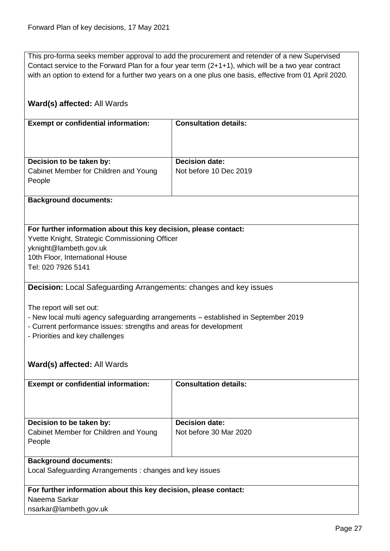This pro-forma seeks member approval to add the procurement and retender of a new Supervised Contact service to the Forward Plan for a four year term (2+1+1), which will be a two year contract with an option to extend for a further two years on a one plus one basis, effective from 01 April 2020.

<span id="page-26-0"></span>

| Ward(s) affected: All Wards                                                                                                                                                                                                                                  |                              |  |
|--------------------------------------------------------------------------------------------------------------------------------------------------------------------------------------------------------------------------------------------------------------|------------------------------|--|
| <b>Exempt or confidential information:</b>                                                                                                                                                                                                                   | <b>Consultation details:</b> |  |
| Decision to be taken by:                                                                                                                                                                                                                                     | <b>Decision date:</b>        |  |
| Cabinet Member for Children and Young<br>People                                                                                                                                                                                                              | Not before 10 Dec 2019       |  |
| <b>Background documents:</b>                                                                                                                                                                                                                                 |                              |  |
|                                                                                                                                                                                                                                                              |                              |  |
| For further information about this key decision, please contact:<br>Yvette Knight, Strategic Commissioning Officer<br>yknight@lambeth.gov.uk<br>10th Floor, International House<br>Tel: 020 7926 5141                                                        |                              |  |
| Decision: Local Safeguarding Arrangements: changes and key issues                                                                                                                                                                                            |                              |  |
| The report will set out:<br>- New local multi agency safeguarding arrangements - established in September 2019<br>- Current performance issues: strengths and areas for development<br>- Priorities and key challenges<br><b>Ward(s) affected: All Wards</b> |                              |  |
|                                                                                                                                                                                                                                                              |                              |  |
| <b>Exempt or confidential information:</b>                                                                                                                                                                                                                   | <b>Consultation details:</b> |  |
| Decision to be taken by:                                                                                                                                                                                                                                     | <b>Decision date:</b>        |  |
| Cabinet Member for Children and Young<br>People                                                                                                                                                                                                              | Not before 30 Mar 2020       |  |
| <b>Background documents:</b>                                                                                                                                                                                                                                 |                              |  |
| Local Safeguarding Arrangements: changes and key issues                                                                                                                                                                                                      |                              |  |
| For further information about this key decision, please contact:                                                                                                                                                                                             |                              |  |
| Naeema Sarkar                                                                                                                                                                                                                                                |                              |  |
| nsarkar@lambeth.gov.uk                                                                                                                                                                                                                                       |                              |  |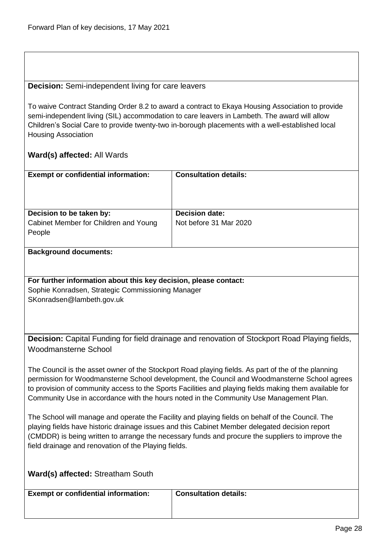#### <span id="page-27-0"></span>**Decision:** Semi-independent living for care leavers

To waive Contract Standing Order 8.2 to award a contract to Ekaya Housing Association to provide semi-independent living (SIL) accommodation to care leavers in Lambeth. The award will allow Children's Social Care to provide twenty-two in-borough placements with a well-established local Housing Association

#### **Ward(s) affected:** All Wards

| <b>Exempt or confidential information:</b> | <b>Consultation details:</b> |
|--------------------------------------------|------------------------------|
| Decision to be taken by:                   | <b>Decision date:</b>        |
| Cabinet Member for Children and Young      | Not before 31 Mar 2020       |
| People                                     |                              |
|                                            |                              |

#### **Background documents:**

#### **For further information about this key decision, please contact:**

Sophie Konradsen, Strategic Commissioning Manager SKonradsen@lambeth.gov.uk

<span id="page-27-1"></span>**Decision:** Capital Funding for field drainage and renovation of Stockport Road Playing fields, Woodmansterne School

The Council is the asset owner of the Stockport Road playing fields. As part of the of the planning permission for Woodmansterne School development, the Council and Woodmansterne School agrees to provision of community access to the Sports Facilities and playing fields making them available for Community Use in accordance with the hours noted in the Community Use Management Plan.

The School will manage and operate the Facility and playing fields on behalf of the Council. The playing fields have historic drainage issues and this Cabinet Member delegated decision report (CMDDR) is being written to arrange the necessary funds and procure the suppliers to improve the field drainage and renovation of the Playing fields.

#### **Ward(s) affected:** Streatham South

**Exempt or confidential information: Consultation details:**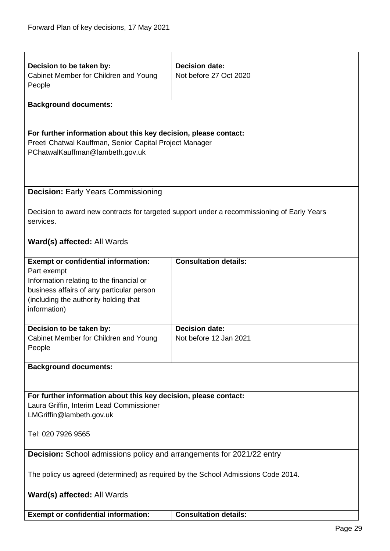<span id="page-28-1"></span><span id="page-28-0"></span>

| Decision to be taken by:                                                          | <b>Decision date:</b>                                                                       |  |
|-----------------------------------------------------------------------------------|---------------------------------------------------------------------------------------------|--|
| Cabinet Member for Children and Young                                             | Not before 27 Oct 2020                                                                      |  |
| People                                                                            |                                                                                             |  |
|                                                                                   |                                                                                             |  |
| <b>Background documents:</b>                                                      |                                                                                             |  |
|                                                                                   |                                                                                             |  |
|                                                                                   |                                                                                             |  |
| For further information about this key decision, please contact:                  |                                                                                             |  |
| Preeti Chatwal Kauffman, Senior Capital Project Manager                           |                                                                                             |  |
| PChatwalKauffman@lambeth.gov.uk                                                   |                                                                                             |  |
|                                                                                   |                                                                                             |  |
|                                                                                   |                                                                                             |  |
| <b>Decision: Early Years Commissioning</b>                                        |                                                                                             |  |
|                                                                                   |                                                                                             |  |
|                                                                                   | Decision to award new contracts for targeted support under a recommissioning of Early Years |  |
| services.                                                                         |                                                                                             |  |
|                                                                                   |                                                                                             |  |
| Ward(s) affected: All Wards                                                       |                                                                                             |  |
|                                                                                   |                                                                                             |  |
| <b>Exempt or confidential information:</b>                                        | <b>Consultation details:</b>                                                                |  |
| Part exempt                                                                       |                                                                                             |  |
| Information relating to the financial or                                          |                                                                                             |  |
| business affairs of any particular person                                         |                                                                                             |  |
| (including the authority holding that                                             |                                                                                             |  |
| information)                                                                      |                                                                                             |  |
|                                                                                   |                                                                                             |  |
| Decision to be taken by:                                                          | <b>Decision date:</b>                                                                       |  |
| Cabinet Member for Children and Young                                             | Not before 12 Jan 2021                                                                      |  |
| People                                                                            |                                                                                             |  |
|                                                                                   |                                                                                             |  |
| <b>Background documents:</b>                                                      |                                                                                             |  |
|                                                                                   |                                                                                             |  |
| For further information about this key decision, please contact:                  |                                                                                             |  |
| Laura Griffin, Interim Lead Commissioner                                          |                                                                                             |  |
| LMGriffin@lambeth.gov.uk                                                          |                                                                                             |  |
|                                                                                   |                                                                                             |  |
| Tel: 020 7926 9565                                                                |                                                                                             |  |
|                                                                                   |                                                                                             |  |
| <b>Decision:</b> School admissions policy and arrangements for 2021/22 entry      |                                                                                             |  |
|                                                                                   |                                                                                             |  |
| The policy us agreed (determined) as required by the School Admissions Code 2014. |                                                                                             |  |
|                                                                                   |                                                                                             |  |
| Ward(s) affected: All Wards                                                       |                                                                                             |  |
|                                                                                   |                                                                                             |  |
| <b>Exempt or confidential information:</b>                                        | <b>Consultation details:</b>                                                                |  |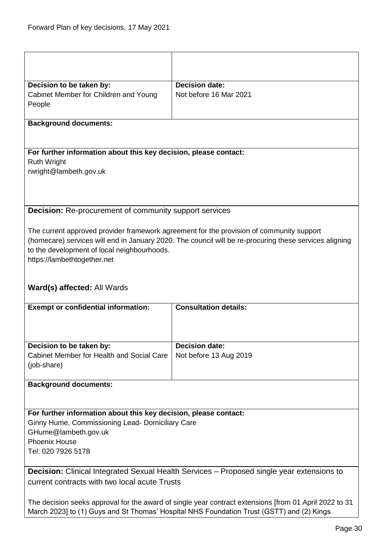<span id="page-29-1"></span><span id="page-29-0"></span>

|                                                                                                        | <b>Decision date:</b>                                                                                  |  |
|--------------------------------------------------------------------------------------------------------|--------------------------------------------------------------------------------------------------------|--|
| Decision to be taken by:<br>Cabinet Member for Children and Young                                      | Not before 16 Mar 2021                                                                                 |  |
| People                                                                                                 |                                                                                                        |  |
|                                                                                                        |                                                                                                        |  |
| <b>Background documents:</b>                                                                           |                                                                                                        |  |
|                                                                                                        |                                                                                                        |  |
| For further information about this key decision, please contact:                                       |                                                                                                        |  |
| <b>Ruth Wright</b>                                                                                     |                                                                                                        |  |
| rwright@lambeth.gov.uk                                                                                 |                                                                                                        |  |
|                                                                                                        |                                                                                                        |  |
|                                                                                                        |                                                                                                        |  |
| <b>Decision:</b> Re-procurement of community support services                                          |                                                                                                        |  |
|                                                                                                        |                                                                                                        |  |
|                                                                                                        | The current approved provider framework agreement for the provision of community support               |  |
|                                                                                                        | (homecare) services will end in January 2020. The council will be re-procuring these services aligning |  |
| to the development of local neighbourhoods.                                                            |                                                                                                        |  |
| https://lambethtogether.net                                                                            |                                                                                                        |  |
|                                                                                                        |                                                                                                        |  |
| Ward(s) affected: All Wards                                                                            |                                                                                                        |  |
|                                                                                                        |                                                                                                        |  |
| <b>Exempt or confidential information:</b>                                                             | <b>Consultation details:</b>                                                                           |  |
|                                                                                                        |                                                                                                        |  |
|                                                                                                        |                                                                                                        |  |
| Decision to be taken by:                                                                               | <b>Decision date:</b>                                                                                  |  |
| Cabinet Member for Health and Social Care                                                              | Not before 13 Aug 2019                                                                                 |  |
| (job-share)                                                                                            |                                                                                                        |  |
|                                                                                                        |                                                                                                        |  |
| <b>Background documents:</b>                                                                           |                                                                                                        |  |
|                                                                                                        |                                                                                                        |  |
| For further information about this key decision, please contact:                                       |                                                                                                        |  |
| Ginny Hume, Commissioning Lead- Domiciliary Care                                                       |                                                                                                        |  |
| GHume@lambeth.gov.uk                                                                                   |                                                                                                        |  |
| <b>Phoenix House</b>                                                                                   |                                                                                                        |  |
| Tel: 020 7926 5178                                                                                     |                                                                                                        |  |
| Decision: Clinical Integrated Sexual Health Services - Proposed single year extensions to              |                                                                                                        |  |
| current contracts with two local acute Trusts                                                          |                                                                                                        |  |
|                                                                                                        |                                                                                                        |  |
| The decision seeks approval for the award of single year contract extensions [from 01 April 2022 to 31 |                                                                                                        |  |
| March 2023] to (1) Guys and St Thomas' Hospital NHS Foundation Trust (GSTT) and (2) Kings              |                                                                                                        |  |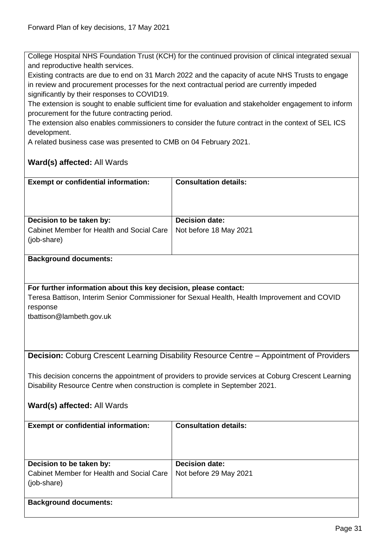College Hospital NHS Foundation Trust (KCH) for the continued provision of clinical integrated sexual and reproductive health services.

Existing contracts are due to end on 31 March 2022 and the capacity of acute NHS Trusts to engage in review and procurement processes for the next contractual period are currently impeded significantly by their responses to COVID19.

The extension is sought to enable sufficient time for evaluation and stakeholder engagement to inform procurement for the future contracting period.

The extension also enables commissioners to consider the future contract in the context of SEL ICS development.

A related business case was presented to CMB on 04 February 2021.

<span id="page-30-0"></span>

| <b>Exempt or confidential information:</b>                                                          | <b>Consultation details:</b>                                                                 |  |
|-----------------------------------------------------------------------------------------------------|----------------------------------------------------------------------------------------------|--|
|                                                                                                     |                                                                                              |  |
|                                                                                                     |                                                                                              |  |
|                                                                                                     |                                                                                              |  |
| Decision to be taken by:                                                                            | <b>Decision date:</b>                                                                        |  |
| Cabinet Member for Health and Social Care                                                           | Not before 18 May 2021                                                                       |  |
| (job-share)                                                                                         |                                                                                              |  |
|                                                                                                     |                                                                                              |  |
| <b>Background documents:</b>                                                                        |                                                                                              |  |
|                                                                                                     |                                                                                              |  |
|                                                                                                     |                                                                                              |  |
| For further information about this key decision, please contact:                                    |                                                                                              |  |
|                                                                                                     | Teresa Battison, Interim Senior Commissioner for Sexual Health, Health Improvement and COVID |  |
| response                                                                                            |                                                                                              |  |
| tbattison@lambeth.gov.uk                                                                            |                                                                                              |  |
|                                                                                                     |                                                                                              |  |
|                                                                                                     |                                                                                              |  |
|                                                                                                     |                                                                                              |  |
|                                                                                                     | Decision: Coburg Crescent Learning Disability Resource Centre - Appointment of Providers     |  |
|                                                                                                     |                                                                                              |  |
| This decision concerns the appointment of providers to provide services at Coburg Crescent Learning |                                                                                              |  |
| Disability Resource Centre when construction is complete in September 2021.                         |                                                                                              |  |
|                                                                                                     |                                                                                              |  |
|                                                                                                     |                                                                                              |  |
| Ward(s) affected: All Wards                                                                         |                                                                                              |  |
| <b>Exempt or confidential information:</b>                                                          | <b>Consultation details:</b>                                                                 |  |
|                                                                                                     |                                                                                              |  |
|                                                                                                     |                                                                                              |  |
|                                                                                                     |                                                                                              |  |
| Decision to be taken by:                                                                            | <b>Decision date:</b>                                                                        |  |
| Cabinet Member for Health and Social Care                                                           | Not before 29 May 2021                                                                       |  |
| (job-share)                                                                                         |                                                                                              |  |
|                                                                                                     |                                                                                              |  |
| <b>Background documents:</b>                                                                        |                                                                                              |  |
|                                                                                                     |                                                                                              |  |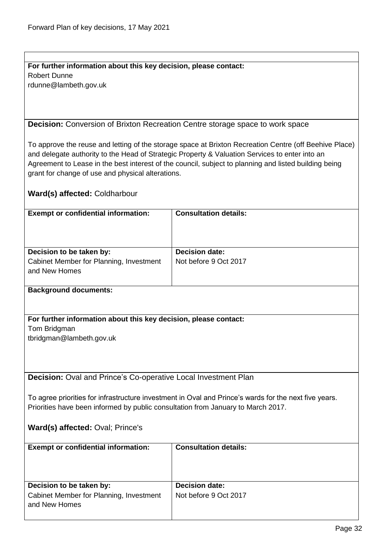# **For further information about this key decision, please contact:**

Robert Dunne

rdunne@lambeth.gov.uk

<span id="page-31-0"></span>**Decision:** Conversion of Brixton Recreation Centre storage space to work space

To approve the reuse and letting of the storage space at Brixton Recreation Centre (off Beehive Place) and delegate authority to the Head of Strategic Property & Valuation Services to enter into an Agreement to Lease in the best interest of the council, subject to planning and listed building being grant for change of use and physical alterations.

#### **Ward(s) affected:** Coldharbour

| <b>Exempt or confidential information:</b> | <b>Consultation details:</b> |
|--------------------------------------------|------------------------------|
| Decision to be taken by:                   | <b>Decision date:</b>        |
|                                            |                              |
| Cabinet Member for Planning, Investment    | Not before 9 Oct 2017        |
| and New Homes                              |                              |
|                                            |                              |
|                                            |                              |
| <b>Background documents:</b>               |                              |

#### **For further information about this key decision, please contact:**

Tom Bridgman

tbridgman@lambeth.gov.uk

<span id="page-31-1"></span>**Decision:** Oval and Prince's Co-operative Local Investment Plan

To agree priorities for infrastructure investment in Oval and Prince's wards for the next five years. Priorities have been informed by public consultation from January to March 2017.

#### **Ward(s) affected:** Oval; Prince's

| <b>Exempt or confidential information:</b>                          | <b>Consultation details:</b>                   |
|---------------------------------------------------------------------|------------------------------------------------|
| Decision to be taken by:<br>Cabinet Member for Planning, Investment | <b>Decision date:</b><br>Not before 9 Oct 2017 |
| and New Homes                                                       |                                                |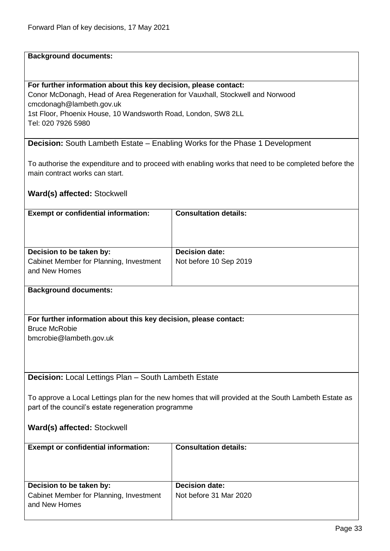#### **For further information about this key decision, please contact:**

Conor McDonagh, Head of Area Regeneration for Vauxhall, Stockwell and Norwood cmcdonagh@lambeth.gov.uk 1st Floor, Phoenix House, 10 Wandsworth Road, London, SW8 2LL Tel: 020 7926 5980

<span id="page-32-0"></span>**Decision:** South Lambeth Estate – Enabling Works for the Phase 1 Development

To authorise the expenditure and to proceed with enabling works that need to be completed before the main contract works can start.

#### **Ward(s) affected:** Stockwell

<span id="page-32-1"></span>and New Homes

| <b>Exempt or confidential information:</b>                       | <b>Consultation details:</b>                                                                         |
|------------------------------------------------------------------|------------------------------------------------------------------------------------------------------|
|                                                                  |                                                                                                      |
|                                                                  |                                                                                                      |
|                                                                  |                                                                                                      |
| Decision to be taken by:                                         | <b>Decision date:</b>                                                                                |
| Cabinet Member for Planning, Investment                          | Not before 10 Sep 2019                                                                               |
| and New Homes                                                    |                                                                                                      |
|                                                                  |                                                                                                      |
| <b>Background documents:</b>                                     |                                                                                                      |
|                                                                  |                                                                                                      |
|                                                                  |                                                                                                      |
| For further information about this key decision, please contact: |                                                                                                      |
| <b>Bruce McRobie</b>                                             |                                                                                                      |
| bmcrobie@lambeth.gov.uk                                          |                                                                                                      |
|                                                                  |                                                                                                      |
|                                                                  |                                                                                                      |
|                                                                  |                                                                                                      |
| Decision: Local Lettings Plan - South Lambeth Estate             |                                                                                                      |
|                                                                  |                                                                                                      |
|                                                                  | To approve a Local Lettings plan for the new homes that will provided at the South Lambeth Estate as |
| part of the council's estate regeneration programme              |                                                                                                      |
|                                                                  |                                                                                                      |
| Ward(s) affected: Stockwell                                      |                                                                                                      |
|                                                                  |                                                                                                      |
| <b>Exempt or confidential information:</b>                       | <b>Consultation details:</b>                                                                         |
|                                                                  |                                                                                                      |
|                                                                  |                                                                                                      |
|                                                                  |                                                                                                      |
| Decision to be taken by:                                         | <b>Decision date:</b>                                                                                |
| Cabinet Member for Planning, Investment                          | Not before 31 Mar 2020                                                                               |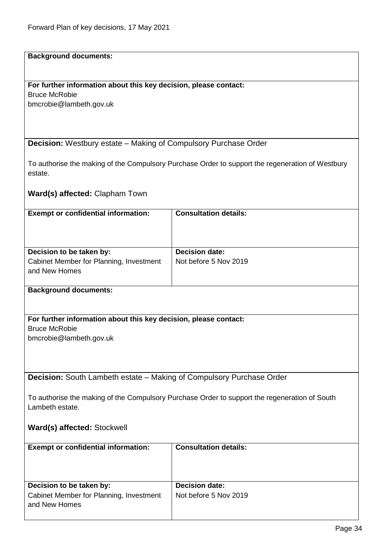## **For further information about this key decision, please contact:**

Bruce McRobie bmcrobie@lambeth.gov.uk

<span id="page-33-0"></span>**Decision:** Westbury estate – Making of Compulsory Purchase Order

To authorise the making of the Compulsory Purchase Order to support the regeneration of Westbury estate.

**Ward(s) affected:** Clapham Town

<span id="page-33-1"></span>

| <b>Exempt or confidential information:</b>                                                                       | <b>Consultation details:</b> |
|------------------------------------------------------------------------------------------------------------------|------------------------------|
|                                                                                                                  |                              |
| Decision to be taken by:                                                                                         | <b>Decision date:</b>        |
| Cabinet Member for Planning, Investment                                                                          | Not before 5 Nov 2019        |
| and New Homes                                                                                                    |                              |
|                                                                                                                  |                              |
| <b>Background documents:</b>                                                                                     |                              |
|                                                                                                                  |                              |
|                                                                                                                  |                              |
| For further information about this key decision, please contact:                                                 |                              |
| <b>Bruce McRobie</b>                                                                                             |                              |
| bmcrobie@lambeth.gov.uk                                                                                          |                              |
|                                                                                                                  |                              |
|                                                                                                                  |                              |
| <b>Decision:</b> South Lambeth estate – Making of Compulsory Purchase Order                                      |                              |
|                                                                                                                  |                              |
|                                                                                                                  |                              |
| To authorise the making of the Compulsory Purchase Order to support the regeneration of South<br>Lambeth estate. |                              |
|                                                                                                                  |                              |
| Ward(s) affected: Stockwell                                                                                      |                              |
|                                                                                                                  |                              |
| <b>Exempt or confidential information:</b>                                                                       | <b>Consultation details:</b> |
|                                                                                                                  |                              |
|                                                                                                                  |                              |
|                                                                                                                  |                              |
| Decision to be taken by:                                                                                         | <b>Decision date:</b>        |
| Cabinet Member for Planning, Investment                                                                          | Not before 5 Nov 2019        |
| and New Homes                                                                                                    |                              |
|                                                                                                                  |                              |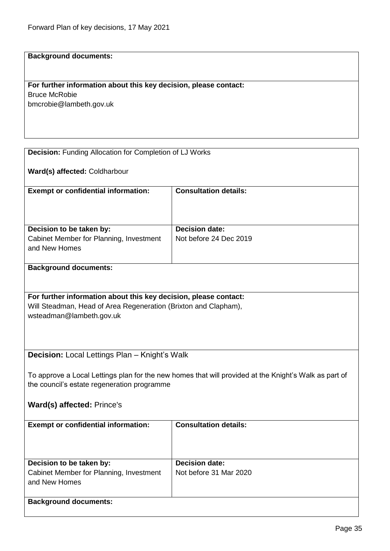# **For further information about this key decision, please contact:**

Bruce McRobie bmcrobie@lambeth.gov.uk

<span id="page-34-1"></span><span id="page-34-0"></span>

| <b>Decision:</b> Funding Allocation for Completion of LJ Works                                                                                       |                              |
|------------------------------------------------------------------------------------------------------------------------------------------------------|------------------------------|
| Ward(s) affected: Coldharbour                                                                                                                        |                              |
| <b>Exempt or confidential information:</b>                                                                                                           | <b>Consultation details:</b> |
|                                                                                                                                                      |                              |
| Decision to be taken by:                                                                                                                             | <b>Decision date:</b>        |
| Cabinet Member for Planning, Investment<br>and New Homes                                                                                             | Not before 24 Dec 2019       |
| <b>Background documents:</b>                                                                                                                         |                              |
|                                                                                                                                                      |                              |
|                                                                                                                                                      |                              |
| For further information about this key decision, please contact:                                                                                     |                              |
| Will Steadman, Head of Area Regeneration (Brixton and Clapham),                                                                                      |                              |
| wsteadman@lambeth.gov.uk                                                                                                                             |                              |
|                                                                                                                                                      |                              |
|                                                                                                                                                      |                              |
| Decision: Local Lettings Plan - Knight's Walk                                                                                                        |                              |
|                                                                                                                                                      |                              |
|                                                                                                                                                      |                              |
| To approve a Local Lettings plan for the new homes that will provided at the Knight's Walk as part of<br>the council's estate regeneration programme |                              |
|                                                                                                                                                      |                              |
| <b>Ward(s) affected: Prince's</b>                                                                                                                    |                              |
|                                                                                                                                                      |                              |
| <b>Exempt or confidential information:</b>                                                                                                           | <b>Consultation details:</b> |
|                                                                                                                                                      |                              |
|                                                                                                                                                      |                              |
|                                                                                                                                                      |                              |
| Decision to be taken by:                                                                                                                             | <b>Decision date:</b>        |
| Cabinet Member for Planning, Investment                                                                                                              | Not before 31 Mar 2020       |
| and New Homes                                                                                                                                        |                              |
| <b>Background documents:</b>                                                                                                                         |                              |
|                                                                                                                                                      |                              |
|                                                                                                                                                      |                              |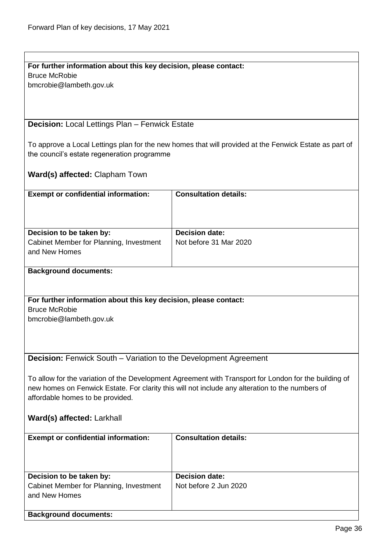<span id="page-35-1"></span><span id="page-35-0"></span>

| For further information about this key decision, please contact:                                      |                                                                                                        |  |
|-------------------------------------------------------------------------------------------------------|--------------------------------------------------------------------------------------------------------|--|
| <b>Bruce McRobie</b>                                                                                  |                                                                                                        |  |
| bmcrobie@lambeth.gov.uk                                                                               |                                                                                                        |  |
|                                                                                                       |                                                                                                        |  |
|                                                                                                       |                                                                                                        |  |
|                                                                                                       |                                                                                                        |  |
| <b>Decision:</b> Local Lettings Plan - Fenwick Estate                                                 |                                                                                                        |  |
|                                                                                                       |                                                                                                        |  |
|                                                                                                       | To approve a Local Lettings plan for the new homes that will provided at the Fenwick Estate as part of |  |
|                                                                                                       |                                                                                                        |  |
| the council's estate regeneration programme                                                           |                                                                                                        |  |
|                                                                                                       |                                                                                                        |  |
| <b>Ward(s) affected: Clapham Town</b>                                                                 |                                                                                                        |  |
|                                                                                                       |                                                                                                        |  |
| <b>Exempt or confidential information:</b>                                                            | <b>Consultation details:</b>                                                                           |  |
|                                                                                                       |                                                                                                        |  |
|                                                                                                       |                                                                                                        |  |
|                                                                                                       |                                                                                                        |  |
| Decision to be taken by:                                                                              | <b>Decision date:</b>                                                                                  |  |
| Cabinet Member for Planning, Investment                                                               | Not before 31 Mar 2020                                                                                 |  |
| and New Homes                                                                                         |                                                                                                        |  |
|                                                                                                       |                                                                                                        |  |
|                                                                                                       |                                                                                                        |  |
| <b>Background documents:</b>                                                                          |                                                                                                        |  |
|                                                                                                       |                                                                                                        |  |
|                                                                                                       |                                                                                                        |  |
| For further information about this key decision, please contact:                                      |                                                                                                        |  |
| <b>Bruce McRobie</b>                                                                                  |                                                                                                        |  |
| bmcrobie@lambeth.gov.uk                                                                               |                                                                                                        |  |
|                                                                                                       |                                                                                                        |  |
|                                                                                                       |                                                                                                        |  |
|                                                                                                       |                                                                                                        |  |
|                                                                                                       |                                                                                                        |  |
| <b>Decision:</b> Fenwick South - Variation to the Development Agreement                               |                                                                                                        |  |
|                                                                                                       |                                                                                                        |  |
| To allow for the variation of the Development Agreement with Transport for London for the building of |                                                                                                        |  |
| new homes on Fenwick Estate. For clarity this will not include any alteration to the numbers of       |                                                                                                        |  |
| affordable homes to be provided.                                                                      |                                                                                                        |  |
|                                                                                                       |                                                                                                        |  |
| Ward(s) affected: Larkhall                                                                            |                                                                                                        |  |
|                                                                                                       |                                                                                                        |  |
| <b>Exempt or confidential information:</b>                                                            | <b>Consultation details:</b>                                                                           |  |
|                                                                                                       |                                                                                                        |  |
|                                                                                                       |                                                                                                        |  |
|                                                                                                       |                                                                                                        |  |
|                                                                                                       |                                                                                                        |  |
| Decision to be taken by:                                                                              | <b>Decision date:</b>                                                                                  |  |
| Cabinet Member for Planning, Investment                                                               | Not before 2 Jun 2020                                                                                  |  |
| and New Homes                                                                                         |                                                                                                        |  |
|                                                                                                       |                                                                                                        |  |
| <b>Background documents:</b>                                                                          |                                                                                                        |  |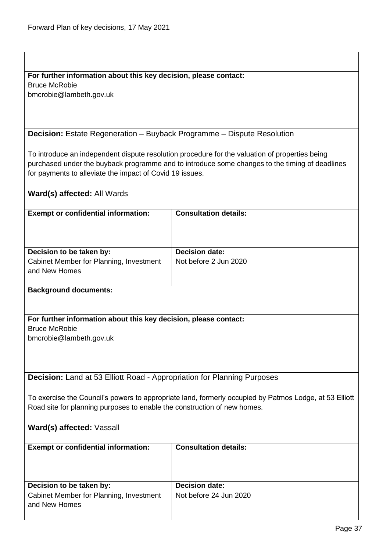#### **For further information about this key decision, please contact:**

Bruce McRobie bmcrobie@lambeth.gov.uk

<span id="page-36-0"></span>**Decision:** Estate Regeneration – Buyback Programme – Dispute Resolution

To introduce an independent dispute resolution procedure for the valuation of properties being purchased under the buyback programme and to introduce some changes to the timing of deadlines for payments to alleviate the impact of Covid 19 issues.

| <b>Exempt or confidential information:</b>                                                             | <b>Consultation details:</b> |
|--------------------------------------------------------------------------------------------------------|------------------------------|
|                                                                                                        |                              |
|                                                                                                        |                              |
|                                                                                                        |                              |
| Decision to be taken by:                                                                               | <b>Decision date:</b>        |
| Cabinet Member for Planning, Investment                                                                | Not before 2 Jun 2020        |
| and New Homes                                                                                          |                              |
|                                                                                                        |                              |
| <b>Background documents:</b>                                                                           |                              |
|                                                                                                        |                              |
|                                                                                                        |                              |
| For further information about this key decision, please contact:                                       |                              |
| <b>Bruce McRobie</b>                                                                                   |                              |
| bmcrobie@lambeth.gov.uk                                                                                |                              |
|                                                                                                        |                              |
|                                                                                                        |                              |
|                                                                                                        |                              |
| Decision: Land at 53 Elliott Road - Appropriation for Planning Purposes                                |                              |
|                                                                                                        |                              |
| To exercise the Council's powers to appropriate land, formerly occupied by Patmos Lodge, at 53 Elliott |                              |
| Road site for planning purposes to enable the construction of new homes.                               |                              |
|                                                                                                        |                              |
|                                                                                                        |                              |
| Ward(s) affected: Vassall                                                                              |                              |
|                                                                                                        |                              |

<span id="page-36-1"></span>

| <b>Exempt or confidential information:</b>               | <b>Consultation details:</b> |
|----------------------------------------------------------|------------------------------|
| Decision to be taken by:                                 | <b>Decision date:</b>        |
| Cabinet Member for Planning, Investment<br>and New Homes | Not before 24 Jun 2020       |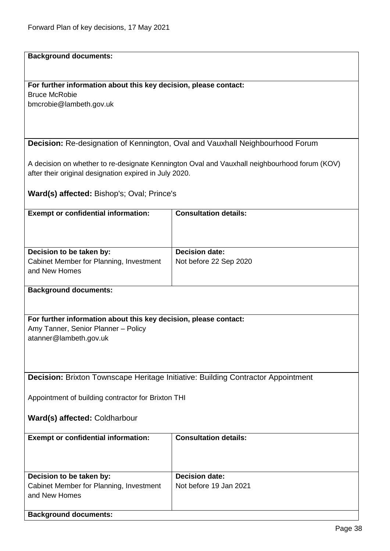## **For further information about this key decision, please contact:**

Bruce McRobie bmcrobie@lambeth.gov.uk

#### <span id="page-37-0"></span>**Decision:** Re-designation of Kennington, Oval and Vauxhall Neighbourhood Forum

A decision on whether to re-designate Kennington Oval and Vauxhall neighbourhood forum (KOV) after their original designation expired in July 2020.

**Ward(s) affected:** Bishop's; Oval; Prince's

<span id="page-37-1"></span>

| <b>Exempt or confidential information:</b>                                              | <b>Consultation details:</b> |
|-----------------------------------------------------------------------------------------|------------------------------|
|                                                                                         |                              |
|                                                                                         |                              |
| Decision to be taken by:                                                                | <b>Decision date:</b>        |
| Cabinet Member for Planning, Investment                                                 | Not before 22 Sep 2020       |
| and New Homes                                                                           |                              |
|                                                                                         |                              |
| <b>Background documents:</b>                                                            |                              |
|                                                                                         |                              |
|                                                                                         |                              |
| For further information about this key decision, please contact:                        |                              |
| Amy Tanner, Senior Planner - Policy                                                     |                              |
| atanner@lambeth.gov.uk                                                                  |                              |
|                                                                                         |                              |
|                                                                                         |                              |
| <b>Decision: Brixton Townscape Heritage Initiative: Building Contractor Appointment</b> |                              |
|                                                                                         |                              |
| Appointment of building contractor for Brixton THI                                      |                              |
|                                                                                         |                              |
| Ward(s) affected: Coldharbour                                                           |                              |
|                                                                                         |                              |
| <b>Exempt or confidential information:</b>                                              | <b>Consultation details:</b> |
|                                                                                         |                              |
|                                                                                         |                              |
|                                                                                         |                              |
| Decision to be taken by:                                                                | <b>Decision date:</b>        |
| Cabinet Member for Planning, Investment                                                 | Not before 19 Jan 2021       |
| and New Homes                                                                           |                              |
|                                                                                         |                              |
| <b>Background documents:</b>                                                            |                              |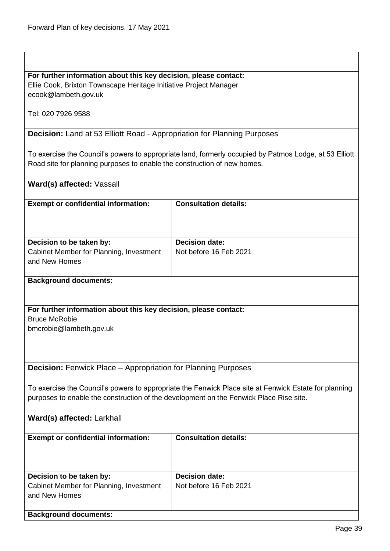#### **For further information about this key decision, please contact:**

Ellie Cook, Brixton Townscape Heritage Initiative Project Manager ecook@lambeth.gov.uk

Tel: 020 7926 9588

<span id="page-38-0"></span>**Decision:** Land at 53 Elliott Road - Appropriation for Planning Purposes

To exercise the Council's powers to appropriate land, formerly occupied by Patmos Lodge, at 53 Elliott Road site for planning purposes to enable the construction of new homes.

#### **Ward(s) affected:** Vassall

| <b>Exempt or confidential information:</b>               | <b>Consultation details:</b> |
|----------------------------------------------------------|------------------------------|
| Decision to be taken by:                                 | <b>Decision date:</b>        |
| Cabinet Member for Planning, Investment<br>and New Homes | Not before 16 Feb 2021       |
| <b>Background documents:</b>                             |                              |

#### **For further information about this key decision, please contact:** Bruce McRobie bmcrobie@lambeth.gov.uk

<span id="page-38-1"></span>**Decision:** Fenwick Place – Appropriation for Planning Purposes

To exercise the Council's powers to appropriate the Fenwick Place site at Fenwick Estate for planning purposes to enable the construction of the development on the Fenwick Place Rise site.

#### **Ward(s) affected:** Larkhall

| <b>Exempt or confidential information:</b> | <b>Consultation details:</b> |
|--------------------------------------------|------------------------------|
| Decision to be taken by:                   | <b>Decision date:</b>        |
|                                            |                              |
| Cabinet Member for Planning, Investment    | Not before 16 Feb 2021       |
|                                            |                              |
| and New Homes                              |                              |
|                                            |                              |
|                                            |                              |
| <b>Background documents:</b>               |                              |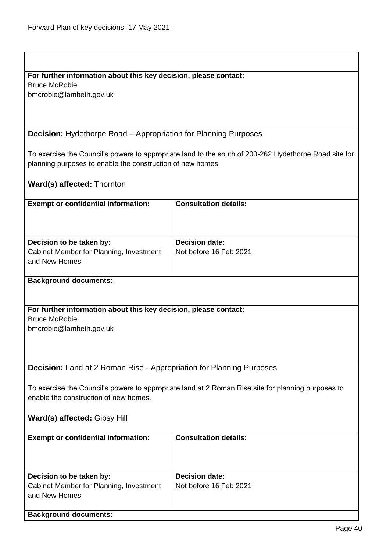#### **For further information about this key decision, please contact:**

Bruce McRobie

bmcrobie@lambeth.gov.uk

<span id="page-39-0"></span>**Decision:** Hydethorpe Road – Appropriation for Planning Purposes

To exercise the Council's powers to appropriate land to the south of 200-262 Hydethorpe Road site for planning purposes to enable the construction of new homes.

|  | <b>Ward(s) affected: Thornton</b> |  |
|--|-----------------------------------|--|
|--|-----------------------------------|--|

| <b>Exempt or confidential information:</b>               | <b>Consultation details:</b> |
|----------------------------------------------------------|------------------------------|
| Decision to be taken by:                                 | <b>Decision date:</b>        |
| Cabinet Member for Planning, Investment<br>and New Homes | Not before 16 Feb 2021       |

#### **Background documents:**

**For further information about this key decision, please contact:** Bruce McRobie bmcrobie@lambeth.gov.uk

<span id="page-39-1"></span>**Decision:** Land at 2 Roman Rise - Appropriation for Planning Purposes

To exercise the Council's powers to appropriate land at 2 Roman Rise site for planning purposes to enable the construction of new homes.

**Ward(s) affected:** Gipsy Hill

| <b>Exempt or confidential information:</b> | <b>Consultation details:</b> |
|--------------------------------------------|------------------------------|
| Decision to be taken by:                   | <b>Decision date:</b>        |
|                                            |                              |
| Cabinet Member for Planning, Investment    | Not before 16 Feb 2021       |
| and New Homes                              |                              |
|                                            |                              |
| <b>Background documents:</b>               |                              |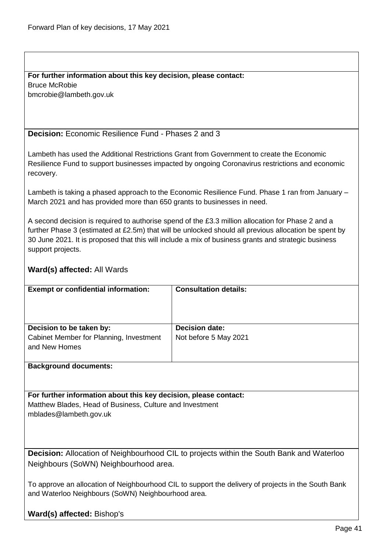#### **For further information about this key decision, please contact:** Bruce McRobie

bmcrobie@lambeth.gov.uk

#### <span id="page-40-0"></span>**Decision:** Economic Resilience Fund - Phases 2 and 3

Lambeth has used the Additional Restrictions Grant from Government to create the Economic Resilience Fund to support businesses impacted by ongoing Coronavirus restrictions and economic recovery.

Lambeth is taking a phased approach to the Economic Resilience Fund. Phase 1 ran from January – March 2021 and has provided more than 650 grants to businesses in need.

A second decision is required to authorise spend of the £3.3 million allocation for Phase 2 and a further Phase 3 (estimated at £2.5m) that will be unlocked should all previous allocation be spent by 30 June 2021. It is proposed that this will include a mix of business grants and strategic business support projects.

#### **Ward(s) affected:** All Wards

| <b>Exempt or confidential information:</b>                                           | <b>Consultation details:</b>                   |
|--------------------------------------------------------------------------------------|------------------------------------------------|
| Decision to be taken by:<br>Cabinet Member for Planning, Investment<br>and New Homes | <b>Decision date:</b><br>Not before 5 May 2021 |

#### **Background documents:**

#### **For further information about this key decision, please contact:** Matthew Blades, Head of Business, Culture and Investment

mblades@lambeth.gov.uk

<span id="page-40-1"></span>**Decision:** Allocation of Neighbourhood CIL to projects within the South Bank and Waterloo Neighbours (SoWN) Neighbourhood area.

To approve an allocation of Neighbourhood CIL to support the delivery of projects in the South Bank and Waterloo Neighbours (SoWN) Neighbourhood area.

**Ward(s) affected:** Bishop's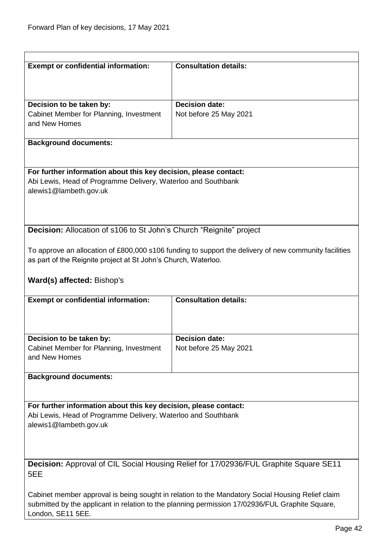<span id="page-41-1"></span><span id="page-41-0"></span>

| <b>Exempt or confidential information:</b><br><b>Consultation details:</b><br><b>Decision date:</b><br>Decision to be taken by:<br>Cabinet Member for Planning, Investment<br>Not before 25 May 2021<br>and New Homes<br><b>Background documents:</b><br>For further information about this key decision, please contact:<br>Abi Lewis, Head of Programme Delivery, Waterloo and Southbank<br>alewis1@lambeth.gov.uk<br><b>Decision:</b> Allocation of s106 to St John's Church "Reignite" project<br>To approve an allocation of £800,000 s106 funding to support the delivery of new community facilities<br>as part of the Reignite project at St John's Church, Waterloo.<br>Ward(s) affected: Bishop's<br><b>Consultation details:</b><br><b>Exempt or confidential information:</b><br>Decision to be taken by:<br><b>Decision date:</b><br>Cabinet Member for Planning, Investment<br>Not before 25 May 2021<br>and New Homes<br><b>Background documents:</b><br>For further information about this key decision, please contact: |  |  |  |
|------------------------------------------------------------------------------------------------------------------------------------------------------------------------------------------------------------------------------------------------------------------------------------------------------------------------------------------------------------------------------------------------------------------------------------------------------------------------------------------------------------------------------------------------------------------------------------------------------------------------------------------------------------------------------------------------------------------------------------------------------------------------------------------------------------------------------------------------------------------------------------------------------------------------------------------------------------------------------------------------------------------------------------------|--|--|--|
|                                                                                                                                                                                                                                                                                                                                                                                                                                                                                                                                                                                                                                                                                                                                                                                                                                                                                                                                                                                                                                          |  |  |  |
|                                                                                                                                                                                                                                                                                                                                                                                                                                                                                                                                                                                                                                                                                                                                                                                                                                                                                                                                                                                                                                          |  |  |  |
|                                                                                                                                                                                                                                                                                                                                                                                                                                                                                                                                                                                                                                                                                                                                                                                                                                                                                                                                                                                                                                          |  |  |  |
|                                                                                                                                                                                                                                                                                                                                                                                                                                                                                                                                                                                                                                                                                                                                                                                                                                                                                                                                                                                                                                          |  |  |  |
|                                                                                                                                                                                                                                                                                                                                                                                                                                                                                                                                                                                                                                                                                                                                                                                                                                                                                                                                                                                                                                          |  |  |  |
|                                                                                                                                                                                                                                                                                                                                                                                                                                                                                                                                                                                                                                                                                                                                                                                                                                                                                                                                                                                                                                          |  |  |  |
|                                                                                                                                                                                                                                                                                                                                                                                                                                                                                                                                                                                                                                                                                                                                                                                                                                                                                                                                                                                                                                          |  |  |  |
|                                                                                                                                                                                                                                                                                                                                                                                                                                                                                                                                                                                                                                                                                                                                                                                                                                                                                                                                                                                                                                          |  |  |  |
|                                                                                                                                                                                                                                                                                                                                                                                                                                                                                                                                                                                                                                                                                                                                                                                                                                                                                                                                                                                                                                          |  |  |  |
|                                                                                                                                                                                                                                                                                                                                                                                                                                                                                                                                                                                                                                                                                                                                                                                                                                                                                                                                                                                                                                          |  |  |  |
|                                                                                                                                                                                                                                                                                                                                                                                                                                                                                                                                                                                                                                                                                                                                                                                                                                                                                                                                                                                                                                          |  |  |  |
|                                                                                                                                                                                                                                                                                                                                                                                                                                                                                                                                                                                                                                                                                                                                                                                                                                                                                                                                                                                                                                          |  |  |  |
|                                                                                                                                                                                                                                                                                                                                                                                                                                                                                                                                                                                                                                                                                                                                                                                                                                                                                                                                                                                                                                          |  |  |  |
|                                                                                                                                                                                                                                                                                                                                                                                                                                                                                                                                                                                                                                                                                                                                                                                                                                                                                                                                                                                                                                          |  |  |  |
|                                                                                                                                                                                                                                                                                                                                                                                                                                                                                                                                                                                                                                                                                                                                                                                                                                                                                                                                                                                                                                          |  |  |  |
|                                                                                                                                                                                                                                                                                                                                                                                                                                                                                                                                                                                                                                                                                                                                                                                                                                                                                                                                                                                                                                          |  |  |  |
|                                                                                                                                                                                                                                                                                                                                                                                                                                                                                                                                                                                                                                                                                                                                                                                                                                                                                                                                                                                                                                          |  |  |  |
|                                                                                                                                                                                                                                                                                                                                                                                                                                                                                                                                                                                                                                                                                                                                                                                                                                                                                                                                                                                                                                          |  |  |  |
|                                                                                                                                                                                                                                                                                                                                                                                                                                                                                                                                                                                                                                                                                                                                                                                                                                                                                                                                                                                                                                          |  |  |  |
|                                                                                                                                                                                                                                                                                                                                                                                                                                                                                                                                                                                                                                                                                                                                                                                                                                                                                                                                                                                                                                          |  |  |  |
|                                                                                                                                                                                                                                                                                                                                                                                                                                                                                                                                                                                                                                                                                                                                                                                                                                                                                                                                                                                                                                          |  |  |  |
|                                                                                                                                                                                                                                                                                                                                                                                                                                                                                                                                                                                                                                                                                                                                                                                                                                                                                                                                                                                                                                          |  |  |  |
|                                                                                                                                                                                                                                                                                                                                                                                                                                                                                                                                                                                                                                                                                                                                                                                                                                                                                                                                                                                                                                          |  |  |  |
|                                                                                                                                                                                                                                                                                                                                                                                                                                                                                                                                                                                                                                                                                                                                                                                                                                                                                                                                                                                                                                          |  |  |  |
|                                                                                                                                                                                                                                                                                                                                                                                                                                                                                                                                                                                                                                                                                                                                                                                                                                                                                                                                                                                                                                          |  |  |  |
|                                                                                                                                                                                                                                                                                                                                                                                                                                                                                                                                                                                                                                                                                                                                                                                                                                                                                                                                                                                                                                          |  |  |  |
|                                                                                                                                                                                                                                                                                                                                                                                                                                                                                                                                                                                                                                                                                                                                                                                                                                                                                                                                                                                                                                          |  |  |  |
|                                                                                                                                                                                                                                                                                                                                                                                                                                                                                                                                                                                                                                                                                                                                                                                                                                                                                                                                                                                                                                          |  |  |  |
|                                                                                                                                                                                                                                                                                                                                                                                                                                                                                                                                                                                                                                                                                                                                                                                                                                                                                                                                                                                                                                          |  |  |  |
|                                                                                                                                                                                                                                                                                                                                                                                                                                                                                                                                                                                                                                                                                                                                                                                                                                                                                                                                                                                                                                          |  |  |  |
|                                                                                                                                                                                                                                                                                                                                                                                                                                                                                                                                                                                                                                                                                                                                                                                                                                                                                                                                                                                                                                          |  |  |  |
|                                                                                                                                                                                                                                                                                                                                                                                                                                                                                                                                                                                                                                                                                                                                                                                                                                                                                                                                                                                                                                          |  |  |  |
|                                                                                                                                                                                                                                                                                                                                                                                                                                                                                                                                                                                                                                                                                                                                                                                                                                                                                                                                                                                                                                          |  |  |  |
|                                                                                                                                                                                                                                                                                                                                                                                                                                                                                                                                                                                                                                                                                                                                                                                                                                                                                                                                                                                                                                          |  |  |  |
|                                                                                                                                                                                                                                                                                                                                                                                                                                                                                                                                                                                                                                                                                                                                                                                                                                                                                                                                                                                                                                          |  |  |  |
|                                                                                                                                                                                                                                                                                                                                                                                                                                                                                                                                                                                                                                                                                                                                                                                                                                                                                                                                                                                                                                          |  |  |  |
| Abi Lewis, Head of Programme Delivery, Waterloo and Southbank                                                                                                                                                                                                                                                                                                                                                                                                                                                                                                                                                                                                                                                                                                                                                                                                                                                                                                                                                                            |  |  |  |
| alewis1@lambeth.gov.uk                                                                                                                                                                                                                                                                                                                                                                                                                                                                                                                                                                                                                                                                                                                                                                                                                                                                                                                                                                                                                   |  |  |  |
|                                                                                                                                                                                                                                                                                                                                                                                                                                                                                                                                                                                                                                                                                                                                                                                                                                                                                                                                                                                                                                          |  |  |  |
|                                                                                                                                                                                                                                                                                                                                                                                                                                                                                                                                                                                                                                                                                                                                                                                                                                                                                                                                                                                                                                          |  |  |  |
|                                                                                                                                                                                                                                                                                                                                                                                                                                                                                                                                                                                                                                                                                                                                                                                                                                                                                                                                                                                                                                          |  |  |  |
| Decision: Approval of CIL Social Housing Relief for 17/02936/FUL Graphite Square SE11                                                                                                                                                                                                                                                                                                                                                                                                                                                                                                                                                                                                                                                                                                                                                                                                                                                                                                                                                    |  |  |  |
|                                                                                                                                                                                                                                                                                                                                                                                                                                                                                                                                                                                                                                                                                                                                                                                                                                                                                                                                                                                                                                          |  |  |  |
|                                                                                                                                                                                                                                                                                                                                                                                                                                                                                                                                                                                                                                                                                                                                                                                                                                                                                                                                                                                                                                          |  |  |  |
|                                                                                                                                                                                                                                                                                                                                                                                                                                                                                                                                                                                                                                                                                                                                                                                                                                                                                                                                                                                                                                          |  |  |  |
| Cabinet member approval is being sought in relation to the Mandatory Social Housing Relief claim<br>submitted by the applicant in relation to the planning permission 17/02936/FUL Graphite Square,                                                                                                                                                                                                                                                                                                                                                                                                                                                                                                                                                                                                                                                                                                                                                                                                                                      |  |  |  |
| London, SE11 5EE.                                                                                                                                                                                                                                                                                                                                                                                                                                                                                                                                                                                                                                                                                                                                                                                                                                                                                                                                                                                                                        |  |  |  |
| 5EE                                                                                                                                                                                                                                                                                                                                                                                                                                                                                                                                                                                                                                                                                                                                                                                                                                                                                                                                                                                                                                      |  |  |  |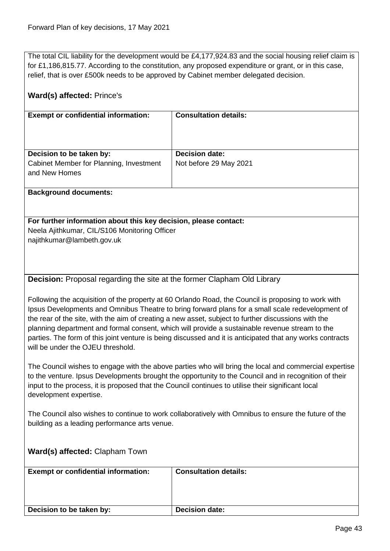The total CIL liability for the development would be £4,177,924.83 and the social housing relief claim is for £1,186,815.77. According to the constitution, any proposed expenditure or grant, or in this case, relief, that is over £500k needs to be approved by Cabinet member delegated decision.

<span id="page-42-0"></span>

| Ward(s) affected: Prince's                                                                                                                                                                                                                                                                                                                                                                                                                                                                                                                                         |                              |  |
|--------------------------------------------------------------------------------------------------------------------------------------------------------------------------------------------------------------------------------------------------------------------------------------------------------------------------------------------------------------------------------------------------------------------------------------------------------------------------------------------------------------------------------------------------------------------|------------------------------|--|
| <b>Exempt or confidential information:</b>                                                                                                                                                                                                                                                                                                                                                                                                                                                                                                                         | <b>Consultation details:</b> |  |
| Decision to be taken by:                                                                                                                                                                                                                                                                                                                                                                                                                                                                                                                                           | <b>Decision date:</b>        |  |
| Cabinet Member for Planning, Investment<br>and New Homes                                                                                                                                                                                                                                                                                                                                                                                                                                                                                                           | Not before 29 May 2021       |  |
| <b>Background documents:</b>                                                                                                                                                                                                                                                                                                                                                                                                                                                                                                                                       |                              |  |
| For further information about this key decision, please contact:<br>Neela Ajithkumar, CIL/S106 Monitoring Officer<br>najithkumar@lambeth.gov.uk                                                                                                                                                                                                                                                                                                                                                                                                                    |                              |  |
| Decision: Proposal regarding the site at the former Clapham Old Library                                                                                                                                                                                                                                                                                                                                                                                                                                                                                            |                              |  |
| Following the acquisition of the property at 60 Orlando Road, the Council is proposing to work with<br>Ipsus Developments and Omnibus Theatre to bring forward plans for a small scale redevelopment of<br>the rear of the site, with the aim of creating a new asset, subject to further discussions with the<br>planning department and formal consent, which will provide a sustainable revenue stream to the<br>parties. The form of this joint venture is being discussed and it is anticipated that any works contracts<br>will be under the OJEU threshold. |                              |  |
| The Council wishes to engage with the above parties who will bring the local and commercial expertise<br>to the venture. Ipsus Developments brought the opportunity to the Council and in recognition of their<br>input to the process, it is proposed that the Council continues to utilise their significant local<br>development expertise.                                                                                                                                                                                                                     |                              |  |
| The Council also wishes to continue to work collaboratively with Omnibus to ensure the future of the<br>building as a leading performance arts venue.                                                                                                                                                                                                                                                                                                                                                                                                              |                              |  |
| Ward(s) affected: Clapham Town                                                                                                                                                                                                                                                                                                                                                                                                                                                                                                                                     |                              |  |
| <b>Exempt or confidential information:</b>                                                                                                                                                                                                                                                                                                                                                                                                                                                                                                                         | <b>Consultation details:</b> |  |
|                                                                                                                                                                                                                                                                                                                                                                                                                                                                                                                                                                    |                              |  |
| Decision to be taken by:                                                                                                                                                                                                                                                                                                                                                                                                                                                                                                                                           | <b>Decision date:</b>        |  |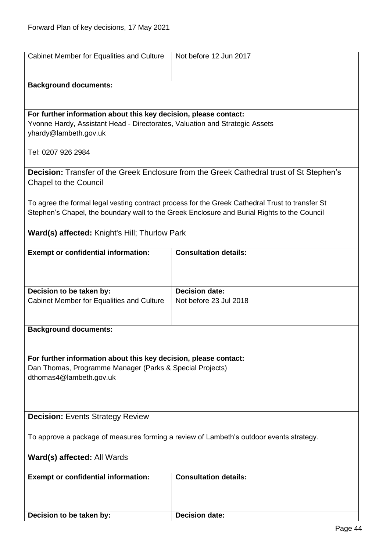<span id="page-43-1"></span><span id="page-43-0"></span>

| Cabinet Member for Equalities and Culture                                               | Not before 12 Jun 2017                                                                          |
|-----------------------------------------------------------------------------------------|-------------------------------------------------------------------------------------------------|
|                                                                                         |                                                                                                 |
| <b>Background documents:</b>                                                            |                                                                                                 |
|                                                                                         |                                                                                                 |
|                                                                                         |                                                                                                 |
| For further information about this key decision, please contact:                        |                                                                                                 |
| Yvonne Hardy, Assistant Head - Directorates, Valuation and Strategic Assets             |                                                                                                 |
| yhardy@lambeth.gov.uk                                                                   |                                                                                                 |
| Tel: 0207 926 2984                                                                      |                                                                                                 |
|                                                                                         |                                                                                                 |
|                                                                                         | Decision: Transfer of the Greek Enclosure from the Greek Cathedral trust of St Stephen's        |
| Chapel to the Council                                                                   |                                                                                                 |
|                                                                                         |                                                                                                 |
|                                                                                         | To agree the formal legal vesting contract process for the Greek Cathedral Trust to transfer St |
|                                                                                         | Stephen's Chapel, the boundary wall to the Greek Enclosure and Burial Rights to the Council     |
|                                                                                         |                                                                                                 |
| <b>Ward(s) affected:</b> Knight's Hill; Thurlow Park                                    |                                                                                                 |
| <b>Exempt or confidential information:</b>                                              | <b>Consultation details:</b>                                                                    |
|                                                                                         |                                                                                                 |
|                                                                                         |                                                                                                 |
|                                                                                         |                                                                                                 |
| Decision to be taken by:                                                                | <b>Decision date:</b>                                                                           |
| Cabinet Member for Equalities and Culture                                               | Not before 23 Jul 2018                                                                          |
|                                                                                         |                                                                                                 |
| <b>Background documents:</b>                                                            |                                                                                                 |
|                                                                                         |                                                                                                 |
|                                                                                         |                                                                                                 |
| For further information about this key decision, please contact:                        |                                                                                                 |
| Dan Thomas, Programme Manager (Parks & Special Projects)                                |                                                                                                 |
| dthomas4@lambeth.gov.uk                                                                 |                                                                                                 |
|                                                                                         |                                                                                                 |
|                                                                                         |                                                                                                 |
| <b>Decision: Events Strategy Review</b>                                                 |                                                                                                 |
|                                                                                         |                                                                                                 |
| To approve a package of measures forming a review of Lambeth's outdoor events strategy. |                                                                                                 |
| Ward(s) affected: All Wards                                                             |                                                                                                 |
|                                                                                         |                                                                                                 |
| <b>Exempt or confidential information:</b>                                              | <b>Consultation details:</b>                                                                    |
|                                                                                         |                                                                                                 |
|                                                                                         |                                                                                                 |
|                                                                                         |                                                                                                 |
| Decision to be taken by:                                                                | <b>Decision date:</b>                                                                           |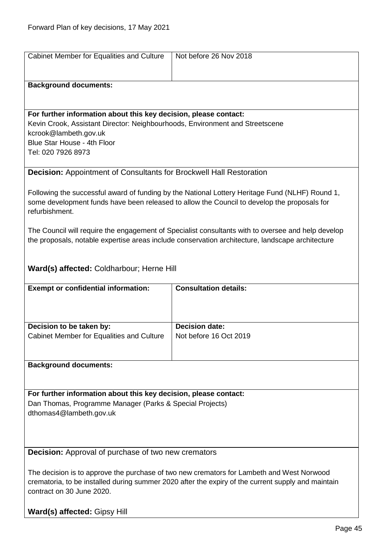<span id="page-44-1"></span><span id="page-44-0"></span>

| Cabinet Member for Equalities and Culture                                                                                    | Not before 26 Nov 2018                                                                                                                                                                                 |
|------------------------------------------------------------------------------------------------------------------------------|--------------------------------------------------------------------------------------------------------------------------------------------------------------------------------------------------------|
|                                                                                                                              |                                                                                                                                                                                                        |
| <b>Background documents:</b>                                                                                                 |                                                                                                                                                                                                        |
|                                                                                                                              |                                                                                                                                                                                                        |
| For further information about this key decision, please contact:                                                             |                                                                                                                                                                                                        |
| Kevin Crook, Assistant Director: Neighbourhoods, Environment and Streetscene<br>kcrook@lambeth.gov.uk                        |                                                                                                                                                                                                        |
| Blue Star House - 4th Floor                                                                                                  |                                                                                                                                                                                                        |
| Tel: 020 7926 8973                                                                                                           |                                                                                                                                                                                                        |
| <b>Decision:</b> Appointment of Consultants for Brockwell Hall Restoration                                                   |                                                                                                                                                                                                        |
|                                                                                                                              |                                                                                                                                                                                                        |
|                                                                                                                              | Following the successful award of funding by the National Lottery Heritage Fund (NLHF) Round 1,<br>some development funds have been released to allow the Council to develop the proposals for         |
| refurbishment.                                                                                                               |                                                                                                                                                                                                        |
|                                                                                                                              |                                                                                                                                                                                                        |
|                                                                                                                              | The Council will require the engagement of Specialist consultants with to oversee and help develop<br>the proposals, notable expertise areas include conservation architecture, landscape architecture |
|                                                                                                                              |                                                                                                                                                                                                        |
| Ward(s) affected: Coldharbour; Herne Hill                                                                                    |                                                                                                                                                                                                        |
|                                                                                                                              |                                                                                                                                                                                                        |
| <b>Exempt or confidential information:</b>                                                                                   | <b>Consultation details:</b>                                                                                                                                                                           |
|                                                                                                                              |                                                                                                                                                                                                        |
|                                                                                                                              |                                                                                                                                                                                                        |
| Decision to be taken by:<br>Cabinet Member for Equalities and Culture                                                        | <b>Decision date:</b><br>Not before 16 Oct 2019                                                                                                                                                        |
|                                                                                                                              |                                                                                                                                                                                                        |
| <b>Background documents:</b>                                                                                                 |                                                                                                                                                                                                        |
|                                                                                                                              |                                                                                                                                                                                                        |
|                                                                                                                              |                                                                                                                                                                                                        |
| For further information about this key decision, please contact:<br>Dan Thomas, Programme Manager (Parks & Special Projects) |                                                                                                                                                                                                        |
| dthomas4@lambeth.gov.uk                                                                                                      |                                                                                                                                                                                                        |
|                                                                                                                              |                                                                                                                                                                                                        |
|                                                                                                                              |                                                                                                                                                                                                        |
| <b>Decision:</b> Approval of purchase of two new cremators                                                                   |                                                                                                                                                                                                        |
|                                                                                                                              | The decision is to approve the purchase of two new cremators for Lambeth and West Norwood                                                                                                              |
| crematoria, to be installed during summer 2020 after the expiry of the current supply and maintain                           |                                                                                                                                                                                                        |
| contract on 30 June 2020.                                                                                                    |                                                                                                                                                                                                        |
| Ward(s) affected: Gipsy Hill                                                                                                 |                                                                                                                                                                                                        |
|                                                                                                                              |                                                                                                                                                                                                        |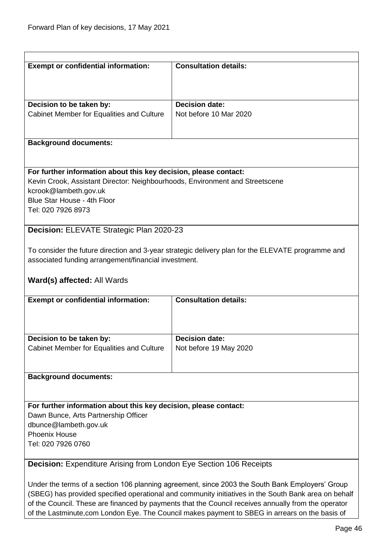<span id="page-45-0"></span>

| <b>Exempt or confidential information:</b>                                                      | <b>Consultation details:</b>                                                                      |  |
|-------------------------------------------------------------------------------------------------|---------------------------------------------------------------------------------------------------|--|
|                                                                                                 |                                                                                                   |  |
|                                                                                                 |                                                                                                   |  |
|                                                                                                 |                                                                                                   |  |
| Decision to be taken by:                                                                        | <b>Decision date:</b>                                                                             |  |
| Cabinet Member for Equalities and Culture                                                       | Not before 10 Mar 2020                                                                            |  |
|                                                                                                 |                                                                                                   |  |
|                                                                                                 |                                                                                                   |  |
| <b>Background documents:</b>                                                                    |                                                                                                   |  |
|                                                                                                 |                                                                                                   |  |
|                                                                                                 |                                                                                                   |  |
| For further information about this key decision, please contact:                                |                                                                                                   |  |
| Kevin Crook, Assistant Director: Neighbourhoods, Environment and Streetscene                    |                                                                                                   |  |
| kcrook@lambeth.gov.uk                                                                           |                                                                                                   |  |
| Blue Star House - 4th Floor                                                                     |                                                                                                   |  |
| Tel: 020 7926 8973                                                                              |                                                                                                   |  |
|                                                                                                 |                                                                                                   |  |
|                                                                                                 |                                                                                                   |  |
| Decision: ELEVATE Strategic Plan 2020-23                                                        |                                                                                                   |  |
|                                                                                                 |                                                                                                   |  |
|                                                                                                 | To consider the future direction and 3-year strategic delivery plan for the ELEVATE programme and |  |
| associated funding arrangement/financial investment.                                            |                                                                                                   |  |
|                                                                                                 |                                                                                                   |  |
| Ward(s) affected: All Wards                                                                     |                                                                                                   |  |
|                                                                                                 |                                                                                                   |  |
| <b>Exempt or confidential information:</b>                                                      | <b>Consultation details:</b>                                                                      |  |
|                                                                                                 |                                                                                                   |  |
|                                                                                                 |                                                                                                   |  |
|                                                                                                 |                                                                                                   |  |
| Decision to be taken by:                                                                        | <b>Decision date:</b>                                                                             |  |
| Cabinet Member for Equalities and Culture                                                       | Not before 19 May 2020                                                                            |  |
|                                                                                                 |                                                                                                   |  |
|                                                                                                 |                                                                                                   |  |
| <b>Background documents:</b>                                                                    |                                                                                                   |  |
|                                                                                                 |                                                                                                   |  |
|                                                                                                 |                                                                                                   |  |
|                                                                                                 |                                                                                                   |  |
| For further information about this key decision, please contact:                                |                                                                                                   |  |
| Dawn Bunce, Arts Partnership Officer                                                            |                                                                                                   |  |
| dbunce@lambeth.gov.uk                                                                           |                                                                                                   |  |
| <b>Phoenix House</b>                                                                            |                                                                                                   |  |
| Tel: 020 7926 0760                                                                              |                                                                                                   |  |
|                                                                                                 |                                                                                                   |  |
| <b>Decision:</b> Expenditure Arising from London Eye Section 106 Receipts                       |                                                                                                   |  |
|                                                                                                 |                                                                                                   |  |
| Under the terms of a section 106 planning agreement, since 2003 the South Bank Employers' Group |                                                                                                   |  |

<span id="page-45-1"></span>(SBEG) has provided specified operational and community initiatives in the South Bank area on behalf of the Council. These are financed by payments that the Council receives annually from the operator of the Lastminute,com London Eye. The Council makes payment to SBEG in arrears on the basis of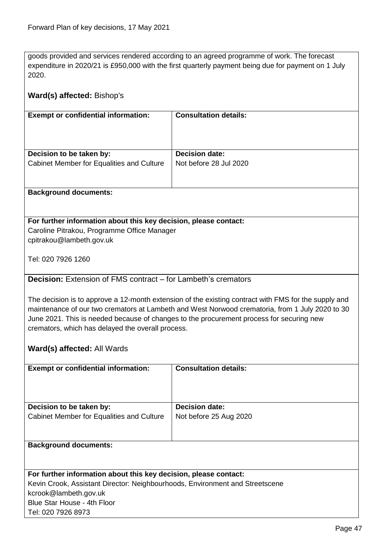goods provided and services rendered according to an agreed programme of work. The forecast expenditure in 2020/21 is £950,000 with the first quarterly payment being due for payment on 1 July 2020.

<span id="page-46-0"></span>

| Ward(s) affected: Bishop's                                                                                                                                                                                                                                                                                                                                                              |                              |  |
|-----------------------------------------------------------------------------------------------------------------------------------------------------------------------------------------------------------------------------------------------------------------------------------------------------------------------------------------------------------------------------------------|------------------------------|--|
| <b>Exempt or confidential information:</b>                                                                                                                                                                                                                                                                                                                                              | <b>Consultation details:</b> |  |
| Decision to be taken by:                                                                                                                                                                                                                                                                                                                                                                | <b>Decision date:</b>        |  |
| Cabinet Member for Equalities and Culture                                                                                                                                                                                                                                                                                                                                               | Not before 28 Jul 2020       |  |
| <b>Background documents:</b>                                                                                                                                                                                                                                                                                                                                                            |                              |  |
| For further information about this key decision, please contact:<br>Caroline Pitrakou, Programme Office Manager<br>cpitrakou@lambeth.gov.uk                                                                                                                                                                                                                                             |                              |  |
| Tel: 020 7926 1260                                                                                                                                                                                                                                                                                                                                                                      |                              |  |
| <b>Decision:</b> Extension of FMS contract – for Lambeth's cremators                                                                                                                                                                                                                                                                                                                    |                              |  |
| The decision is to approve a 12-month extension of the existing contract with FMS for the supply and<br>maintenance of our two cremators at Lambeth and West Norwood crematoria, from 1 July 2020 to 30<br>June 2021. This is needed because of changes to the procurement process for securing new<br>cremators, which has delayed the overall process.<br>Ward(s) affected: All Wards |                              |  |
|                                                                                                                                                                                                                                                                                                                                                                                         |                              |  |
| <b>Exempt or confidential information:</b>                                                                                                                                                                                                                                                                                                                                              | <b>Consultation details:</b> |  |
| Decision to be taken by:                                                                                                                                                                                                                                                                                                                                                                | <b>Decision date:</b>        |  |
| Cabinet Member for Equalities and Culture                                                                                                                                                                                                                                                                                                                                               | Not before 25 Aug 2020       |  |
| <b>Background documents:</b>                                                                                                                                                                                                                                                                                                                                                            |                              |  |
| For further information about this key decision, please contact:                                                                                                                                                                                                                                                                                                                        |                              |  |
| Kevin Crook, Assistant Director: Neighbourhoods, Environment and Streetscene<br>kcrook@lambeth.gov.uk<br>Blue Star House - 4th Floor                                                                                                                                                                                                                                                    |                              |  |
| Tel: 020 7926 8973                                                                                                                                                                                                                                                                                                                                                                      |                              |  |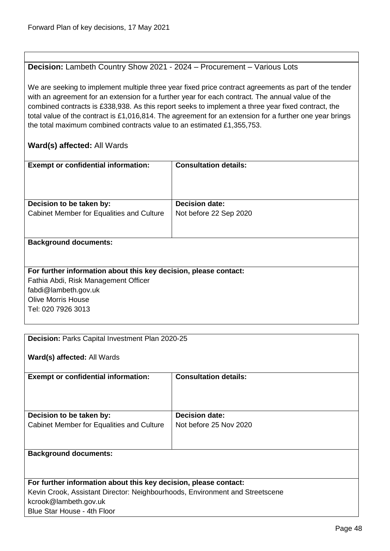#### <span id="page-47-0"></span>**Decision:** Lambeth Country Show 2021 - 2024 – Procurement – Various Lots

We are seeking to implement multiple three year fixed price contract agreements as part of the tender with an agreement for an extension for a further year for each contract. The annual value of the combined contracts is £338,938. As this report seeks to implement a three year fixed contract, the total value of the contract is £1,016,814. The agreement for an extension for a further one year brings the total maximum combined contracts value to an estimated £1,355,753.

| <b>Exempt or confidential information:</b>                       | <b>Consultation details:</b> |
|------------------------------------------------------------------|------------------------------|
|                                                                  |                              |
|                                                                  |                              |
|                                                                  |                              |
|                                                                  |                              |
| Decision to be taken by:                                         | <b>Decision date:</b>        |
| Cabinet Member for Equalities and Culture                        | Not before 22 Sep 2020       |
|                                                                  |                              |
|                                                                  |                              |
|                                                                  |                              |
| <b>Background documents:</b>                                     |                              |
|                                                                  |                              |
|                                                                  |                              |
|                                                                  |                              |
| For further information about this key decision, please contact: |                              |
| Fathia Abdi, Risk Management Officer                             |                              |
| fabdi@lambeth.gov.uk                                             |                              |
| <b>Olive Morris House</b>                                        |                              |
| Tel: 020 7926 3013                                               |                              |

<span id="page-47-1"></span>

| <b>Decision: Parks Capital Investment Plan 2020-25</b>                       |                              |  |
|------------------------------------------------------------------------------|------------------------------|--|
|                                                                              |                              |  |
| Ward(s) affected: All Wards                                                  |                              |  |
| <b>Exempt or confidential information:</b>                                   | <b>Consultation details:</b> |  |
|                                                                              |                              |  |
|                                                                              |                              |  |
|                                                                              |                              |  |
| Decision to be taken by:                                                     | Decision date:               |  |
| Cabinet Member for Equalities and Culture                                    | Not before 25 Nov 2020       |  |
|                                                                              |                              |  |
|                                                                              |                              |  |
| <b>Background documents:</b>                                                 |                              |  |
|                                                                              |                              |  |
|                                                                              |                              |  |
| For further information about this key decision, please contact:             |                              |  |
| Kevin Crook, Assistant Director: Neighbourhoods, Environment and Streetscene |                              |  |
| kcrook@lambeth.gov.uk                                                        |                              |  |
| Blue Star House - 4th Floor                                                  |                              |  |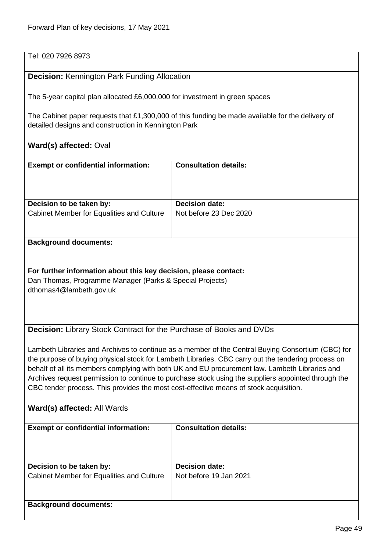#### Tel: 020 7926 8973

#### <span id="page-48-0"></span>**Decision:** Kennington Park Funding Allocation

The 5-year capital plan allocated £6,000,000 for investment in green spaces

The Cabinet paper requests that £1,300,000 of this funding be made available for the delivery of detailed designs and construction in Kennington Park

#### **Ward(s) affected:** Oval

| <b>Exempt or confidential information:</b> | <b>Consultation details:</b> |
|--------------------------------------------|------------------------------|
| Decision to be taken by:                   | <b>Decision date:</b>        |
| Cabinet Member for Equalities and Culture  | Not before 23 Dec 2020       |

#### **Background documents:**

**For further information about this key decision, please contact:** Dan Thomas, Programme Manager (Parks & Special Projects) dthomas4@lambeth.gov.uk

<span id="page-48-1"></span>**Decision:** Library Stock Contract for the Purchase of Books and DVDs

Lambeth Libraries and Archives to continue as a member of the Central Buying Consortium (CBC) for the purpose of buying physical stock for Lambeth Libraries. CBC carry out the tendering process on behalf of all its members complying with both UK and EU procurement law. Lambeth Libraries and Archives request permission to continue to purchase stock using the suppliers appointed through the CBC tender process. This provides the most cost-effective means of stock acquisition.

| <b>Exempt or confidential information:</b>                            | <b>Consultation details:</b>                    |
|-----------------------------------------------------------------------|-------------------------------------------------|
| Decision to be taken by:<br>Cabinet Member for Equalities and Culture | <b>Decision date:</b><br>Not before 19 Jan 2021 |
| <b>Background documents:</b>                                          |                                                 |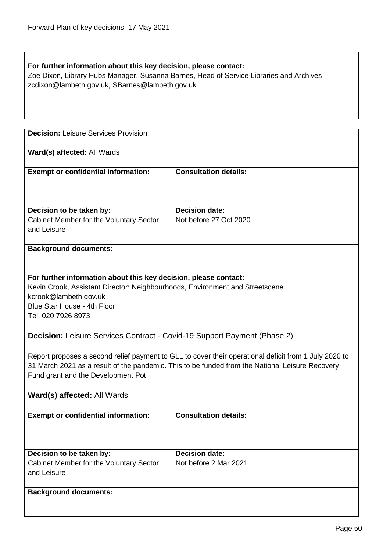### **For further information about this key decision, please contact:** Zoe Dixon, Library Hubs Manager, Susanna Barnes, Head of Service Libraries and Archives zcdixon@lambeth.gov.uk, SBarnes@lambeth.gov.uk

<span id="page-49-0"></span>**Decision:** Leisure Services Provision

#### **Ward(s) affected:** All Wards

| <b>Exempt or confidential information:</b>                          | <b>Consultation details:</b>                    |
|---------------------------------------------------------------------|-------------------------------------------------|
| Decision to be taken by:<br>Cabinet Member for the Voluntary Sector | <b>Decision date:</b><br>Not before 27 Oct 2020 |
| and Leisure                                                         |                                                 |

#### **Background documents:**

#### **For further information about this key decision, please contact:**

Kevin Crook, Assistant Director: Neighbourhoods, Environment and Streetscene kcrook@lambeth.gov.uk Blue Star House - 4th Floor Tel: 020 7926 8973

<span id="page-49-1"></span>**Decision:** Leisure Services Contract - Covid-19 Support Payment (Phase 2)

Report proposes a second relief payment to GLL to cover their operational deficit from 1 July 2020 to 31 March 2021 as a result of the pandemic. This to be funded from the National Leisure Recovery Fund grant and the Development Pot

| <b>Exempt or confidential information:</b>                                         | <b>Consultation details:</b>                   |
|------------------------------------------------------------------------------------|------------------------------------------------|
| Decision to be taken by:<br>Cabinet Member for the Voluntary Sector<br>and Leisure | <b>Decision date:</b><br>Not before 2 Mar 2021 |
| <b>Background documents:</b>                                                       |                                                |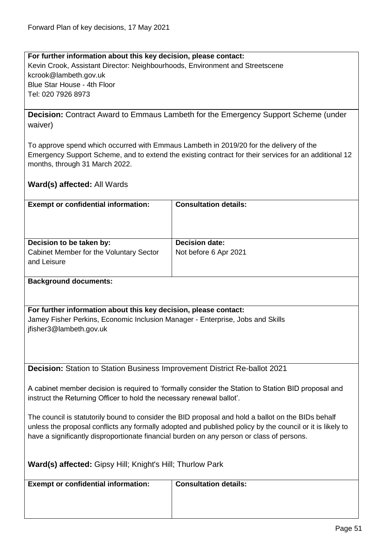**For further information about this key decision, please contact:** Kevin Crook, Assistant Director: Neighbourhoods, Environment and Streetscene kcrook@lambeth.gov.uk Blue Star House - 4th Floor Tel: 020 7926 8973

<span id="page-50-0"></span>**Decision:** Contract Award to Emmaus Lambeth for the Emergency Support Scheme (under waiver)

To approve spend which occurred with Emmaus Lambeth in 2019/20 for the delivery of the Emergency Support Scheme, and to extend the existing contract for their services for an additional 12 months, through 31 March 2022.

|  |  | Ward(s) affected: All Wards |
|--|--|-----------------------------|
|--|--|-----------------------------|

| <b>Exempt or confidential information:</b>             | <b>Consultation details:</b> |
|--------------------------------------------------------|------------------------------|
| Decision to be taken by:                               | <b>Decision date:</b>        |
| Cabinet Member for the Voluntary Sector<br>and Leisure | Not before 6 Apr 2021        |

#### **Background documents:**

**For further information about this key decision, please contact:** Jamey Fisher Perkins, Economic Inclusion Manager - Enterprise, Jobs and Skills jfisher3@lambeth.gov.uk

<span id="page-50-1"></span>**Decision:** Station to Station Business Improvement District Re-ballot 2021

A cabinet member decision is required to 'formally consider the Station to Station BID proposal and instruct the Returning Officer to hold the necessary renewal ballot'.

The council is statutorily bound to consider the BID proposal and hold a ballot on the BIDs behalf unless the proposal conflicts any formally adopted and published policy by the council or it is likely to have a significantly disproportionate financial burden on any person or class of persons.

| Ward(s) affected: Gipsy Hill; Knight's Hill; Thurlow Park |
|-----------------------------------------------------------|
|-----------------------------------------------------------|

| <b>Exempt or confidential information:</b> | <b>Consultation details:</b> |
|--------------------------------------------|------------------------------|
|                                            |                              |
|                                            |                              |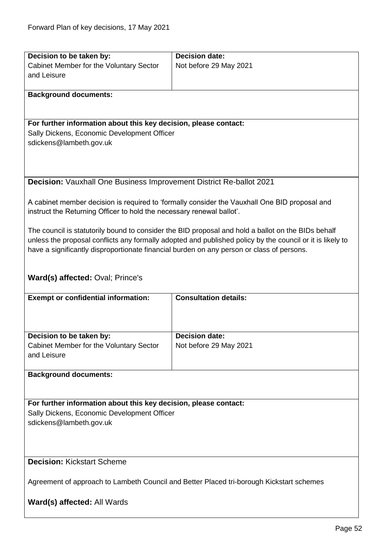<span id="page-51-1"></span><span id="page-51-0"></span>

| Decision to be taken by:                                                                  | <b>Decision date:</b>                                                                                     |  |  |
|-------------------------------------------------------------------------------------------|-----------------------------------------------------------------------------------------------------------|--|--|
| Cabinet Member for the Voluntary Sector                                                   | Not before 29 May 2021                                                                                    |  |  |
| and Leisure                                                                               |                                                                                                           |  |  |
|                                                                                           |                                                                                                           |  |  |
|                                                                                           |                                                                                                           |  |  |
| <b>Background documents:</b>                                                              |                                                                                                           |  |  |
|                                                                                           |                                                                                                           |  |  |
|                                                                                           |                                                                                                           |  |  |
| For further information about this key decision, please contact:                          |                                                                                                           |  |  |
| Sally Dickens, Economic Development Officer                                               |                                                                                                           |  |  |
| sdickens@lambeth.gov.uk                                                                   |                                                                                                           |  |  |
|                                                                                           |                                                                                                           |  |  |
|                                                                                           |                                                                                                           |  |  |
|                                                                                           |                                                                                                           |  |  |
| <b>Decision:</b> Vauxhall One Business Improvement District Re-ballot 2021                |                                                                                                           |  |  |
|                                                                                           |                                                                                                           |  |  |
|                                                                                           | A cabinet member decision is required to 'formally consider the Vauxhall One BID proposal and             |  |  |
| instruct the Returning Officer to hold the necessary renewal ballot'.                     |                                                                                                           |  |  |
|                                                                                           |                                                                                                           |  |  |
|                                                                                           | The council is statutorily bound to consider the BID proposal and hold a ballot on the BIDs behalf        |  |  |
|                                                                                           | unless the proposal conflicts any formally adopted and published policy by the council or it is likely to |  |  |
|                                                                                           |                                                                                                           |  |  |
| have a significantly disproportionate financial burden on any person or class of persons. |                                                                                                           |  |  |
|                                                                                           |                                                                                                           |  |  |
|                                                                                           |                                                                                                           |  |  |
| Ward(s) affected: Oval; Prince's                                                          |                                                                                                           |  |  |
|                                                                                           |                                                                                                           |  |  |
| <b>Exempt or confidential information:</b>                                                | <b>Consultation details:</b>                                                                              |  |  |
|                                                                                           |                                                                                                           |  |  |
|                                                                                           |                                                                                                           |  |  |
|                                                                                           |                                                                                                           |  |  |
| Decision to be taken by:                                                                  | <b>Decision date:</b>                                                                                     |  |  |
| Cabinet Member for the Voluntary Sector                                                   | Not before 29 May 2021                                                                                    |  |  |
| and Leisure                                                                               |                                                                                                           |  |  |
|                                                                                           |                                                                                                           |  |  |
| <b>Background documents:</b>                                                              |                                                                                                           |  |  |
|                                                                                           |                                                                                                           |  |  |
|                                                                                           |                                                                                                           |  |  |
| For further information about this key decision, please contact:                          |                                                                                                           |  |  |
| Sally Dickens, Economic Development Officer                                               |                                                                                                           |  |  |
| sdickens@lambeth.gov.uk                                                                   |                                                                                                           |  |  |
|                                                                                           |                                                                                                           |  |  |
|                                                                                           |                                                                                                           |  |  |
|                                                                                           |                                                                                                           |  |  |
|                                                                                           |                                                                                                           |  |  |
| <b>Decision: Kickstart Scheme</b>                                                         |                                                                                                           |  |  |
|                                                                                           |                                                                                                           |  |  |
| Agreement of approach to Lambeth Council and Better Placed tri-borough Kickstart schemes  |                                                                                                           |  |  |
|                                                                                           |                                                                                                           |  |  |
| Ward(s) affected: All Wards                                                               |                                                                                                           |  |  |
|                                                                                           |                                                                                                           |  |  |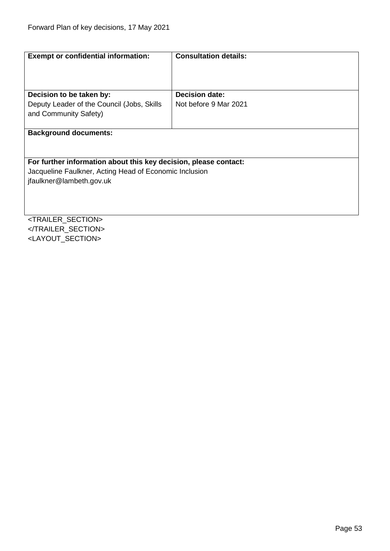| <b>Exempt or confidential information:</b>                       | <b>Consultation details:</b> |
|------------------------------------------------------------------|------------------------------|
|                                                                  |                              |
| Decision to be taken by:                                         | <b>Decision date:</b>        |
| Deputy Leader of the Council (Jobs, Skills                       | Not before 9 Mar 2021        |
| and Community Safety)                                            |                              |
|                                                                  |                              |
| <b>Background documents:</b>                                     |                              |
|                                                                  |                              |
|                                                                  |                              |
| For further information about this key decision, please contact: |                              |
| Jacqueline Faulkner, Acting Head of Economic Inclusion           |                              |
| jfaulkner@lambeth.gov.uk                                         |                              |
|                                                                  |                              |
|                                                                  |                              |
|                                                                  |                              |
| <trailer_section></trailer_section>                              |                              |

</TRAILER\_SECTION> <LAYOUT\_SECTION>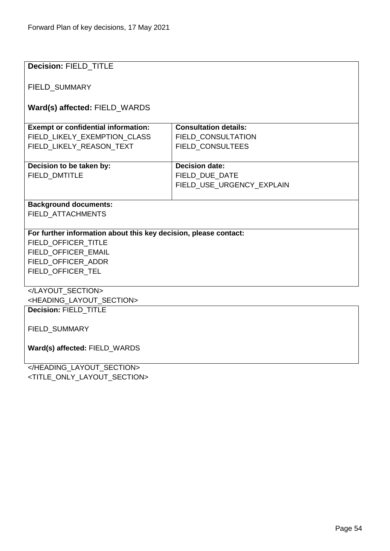| <b>Decision: FIELD_TITLE</b>                                     |                              |  |
|------------------------------------------------------------------|------------------------------|--|
|                                                                  |                              |  |
| <b>FIELD SUMMARY</b>                                             |                              |  |
|                                                                  |                              |  |
|                                                                  |                              |  |
| Ward(s) affected: FIELD_WARDS                                    |                              |  |
|                                                                  | <b>Consultation details:</b> |  |
| <b>Exempt or confidential information:</b>                       |                              |  |
| FIELD_LIKELY_EXEMPTION CLASS                                     | FIELD CONSULTATION           |  |
| FIELD LIKELY REASON TEXT                                         | <b>FIELD CONSULTEES</b>      |  |
|                                                                  |                              |  |
| Decision to be taken by:                                         | <b>Decision date:</b>        |  |
| FIELD_DMTITLE                                                    | FIELD DUE DATE               |  |
|                                                                  | FIELD_USE_URGENCY_EXPLAIN    |  |
|                                                                  |                              |  |
| <b>Background documents:</b>                                     |                              |  |
| <b>FIELD ATTACHMENTS</b>                                         |                              |  |
|                                                                  |                              |  |
| For further information about this key decision, please contact: |                              |  |
| FIELD OFFICER TITLE                                              |                              |  |
| FIELD_OFFICER_EMAIL                                              |                              |  |
| FIELD OFFICER ADDR                                               |                              |  |
| FIELD_OFFICER_TEL                                                |                              |  |
|                                                                  |                              |  |
|                                                                  |                              |  |
|                                                                  |                              |  |
| <heading_layout_section></heading_layout_section>                |                              |  |
| Decision: FIELD_TITLE                                            |                              |  |
|                                                                  |                              |  |
| <b>FIELD SUMMARY</b>                                             |                              |  |
|                                                                  |                              |  |
| Ward(s) affected: FIELD WARDS                                    |                              |  |
|                                                                  |                              |  |

</HEADING\_LAYOUT\_SECTION> <TITLE\_ONLY\_LAYOUT\_SECTION>